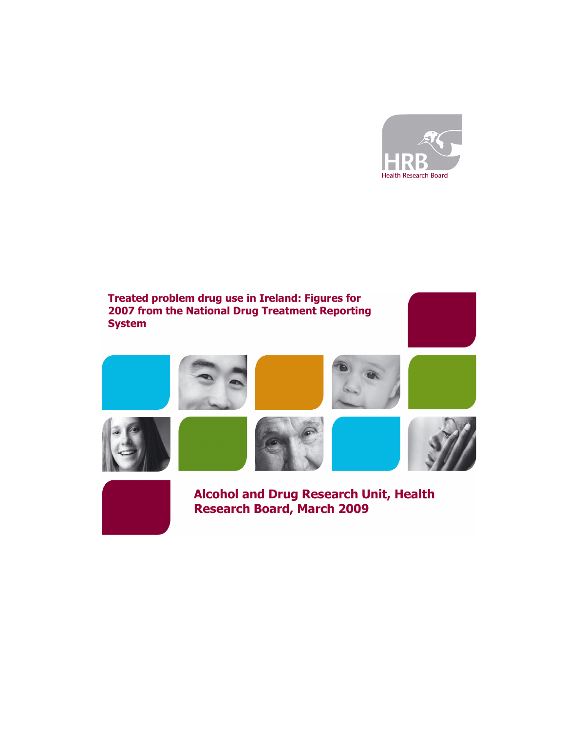

# Treated problem drug use in Ireland: Figures for 2007 from the National Drug Treatment Reporting **System**





Alcohol and Drug Research Unit, Health Research Board, March 2009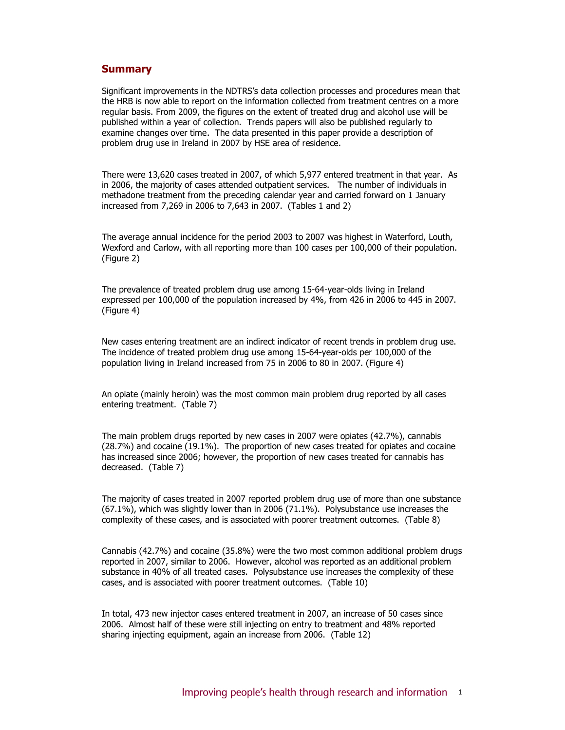## **Summary**

Significant improvements in the NDTRS's data collection processes and procedures mean that the HRB is now able to report on the information collected from treatment centres on a more regular basis. From 2009, the figures on the extent of treated drug and alcohol use will be published within a year of collection. Trends papers will also be published regularly to examine changes over time. The data presented in this paper provide a description of problem drug use in Ireland in 2007 by HSE area of residence.

There were 13,620 cases treated in 2007, of which 5,977 entered treatment in that year. As in 2006, the majority of cases attended outpatient services. The number of individuals in methadone treatment from the preceding calendar year and carried forward on 1 January increased from 7,269 in 2006 to 7,643 in 2007. (Tables 1 and 2)

The average annual incidence for the period 2003 to 2007 was highest in Waterford, Louth, Wexford and Carlow, with all reporting more than 100 cases per 100,000 of their population. (Figure 2)

The prevalence of treated problem drug use among 15-64-year-olds living in Ireland expressed per 100,000 of the population increased by 4%, from 426 in 2006 to 445 in 2007. (Figure 4)

New cases entering treatment are an indirect indicator of recent trends in problem drug use. The incidence of treated problem drug use among 15-64-year-olds per 100,000 of the population living in Ireland increased from 75 in 2006 to 80 in 2007. (Figure 4)

An opiate (mainly heroin) was the most common main problem drug reported by all cases entering treatment. (Table 7)

The main problem drugs reported by new cases in 2007 were opiates (42.7%), cannabis (28.7%) and cocaine (19.1%). The proportion of new cases treated for opiates and cocaine has increased since 2006; however, the proportion of new cases treated for cannabis has decreased. (Table 7)

The majority of cases treated in 2007 reported problem drug use of more than one substance (67.1%), which was slightly lower than in 2006 (71.1%). Polysubstance use increases the complexity of these cases, and is associated with poorer treatment outcomes. (Table 8)

Cannabis (42.7%) and cocaine (35.8%) were the two most common additional problem drugs reported in 2007, similar to 2006. However, alcohol was reported as an additional problem substance in 40% of all treated cases. Polysubstance use increases the complexity of these cases, and is associated with poorer treatment outcomes. (Table 10)

In total, 473 new injector cases entered treatment in 2007, an increase of 50 cases since 2006. Almost half of these were still injecting on entry to treatment and 48% reported sharing injecting equipment, again an increase from 2006. (Table 12)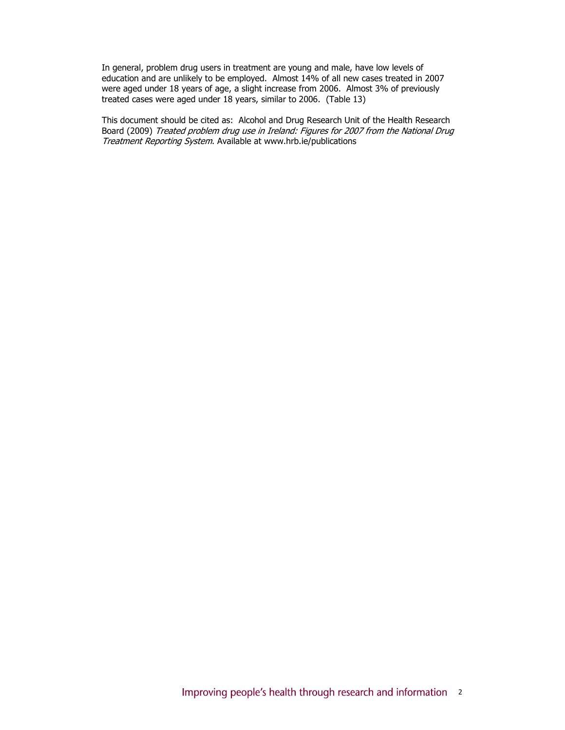In general, problem drug users in treatment are young and male, have low levels of education and are unlikely to be employed. Almost 14% of all new cases treated in 2007 were aged under 18 years of age, a slight increase from 2006. Almost 3% of previously treated cases were aged under 18 years, similar to 2006. (Table 13)

This document should be cited as: Alcohol and Drug Research Unit of the Health Research Board (2009) Treated problem drug use in Ireland: Figures for 2007 from the National Drug Treatment Reporting System. Available at www.hrb.ie/publications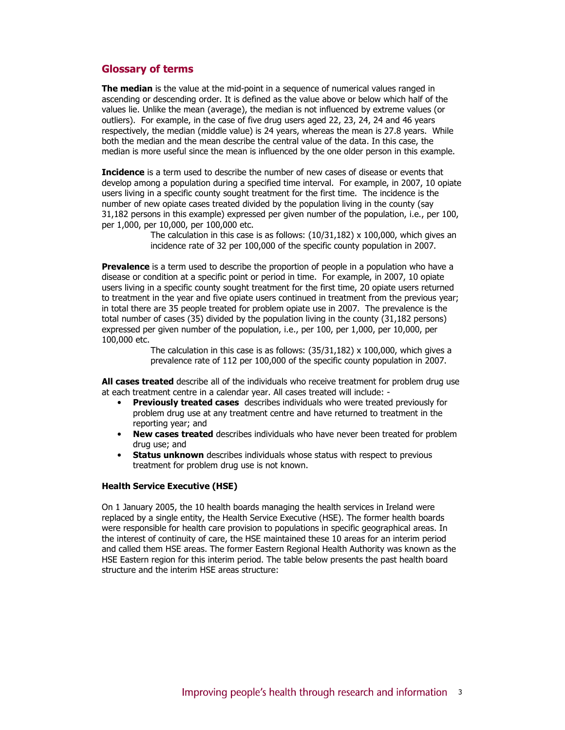## Glossary of terms

The median is the value at the mid-point in a sequence of numerical values ranged in ascending or descending order. It is defined as the value above or below which half of the values lie. Unlike the mean (average), the median is not influenced by extreme values (or outliers). For example, in the case of five drug users aged 22, 23, 24, 24 and 46 years respectively, the median (middle value) is 24 years, whereas the mean is 27.8 years. While both the median and the mean describe the central value of the data. In this case, the median is more useful since the mean is influenced by the one older person in this example.

Incidence is a term used to describe the number of new cases of disease or events that develop among a population during a specified time interval. For example, in 2007, 10 opiate users living in a specific county sought treatment for the first time. The incidence is the number of new opiate cases treated divided by the population living in the county (say 31,182 persons in this example) expressed per given number of the population, i.e., per 100, per 1,000, per 10,000, per 100,000 etc.

> The calculation in this case is as follows:  $(10/31,182)$  x 100,000, which gives an incidence rate of 32 per 100,000 of the specific county population in 2007.

**Prevalence** is a term used to describe the proportion of people in a population who have a disease or condition at a specific point or period in time. For example, in 2007, 10 opiate users living in a specific county sought treatment for the first time, 20 opiate users returned to treatment in the year and five opiate users continued in treatment from the previous year; in total there are 35 people treated for problem opiate use in 2007. The prevalence is the total number of cases (35) divided by the population living in the county (31,182 persons) expressed per given number of the population, i.e., per 100, per 1,000, per 10,000, per 100,000 etc.

> The calculation in this case is as follows:  $(35/31,182) \times 100,000$ , which gives a prevalence rate of 112 per 100,000 of the specific county population in 2007.

**All cases treated** describe all of the individuals who receive treatment for problem drug use at each treatment centre in a calendar year. All cases treated will include: -

- Previously treated cases describes individuals who were treated previously for problem drug use at any treatment centre and have returned to treatment in the reporting year; and
- New cases treated describes individuals who have never been treated for problem drug use; and
- **Status unknown** describes individuals whose status with respect to previous treatment for problem drug use is not known.

#### Health Service Executive (HSE)

On 1 January 2005, the 10 health boards managing the health services in Ireland were replaced by a single entity, the Health Service Executive (HSE). The former health boards were responsible for health care provision to populations in specific geographical areas. In the interest of continuity of care, the HSE maintained these 10 areas for an interim period and called them HSE areas. The former Eastern Regional Health Authority was known as the HSE Eastern region for this interim period. The table below presents the past health board structure and the interim HSE areas structure: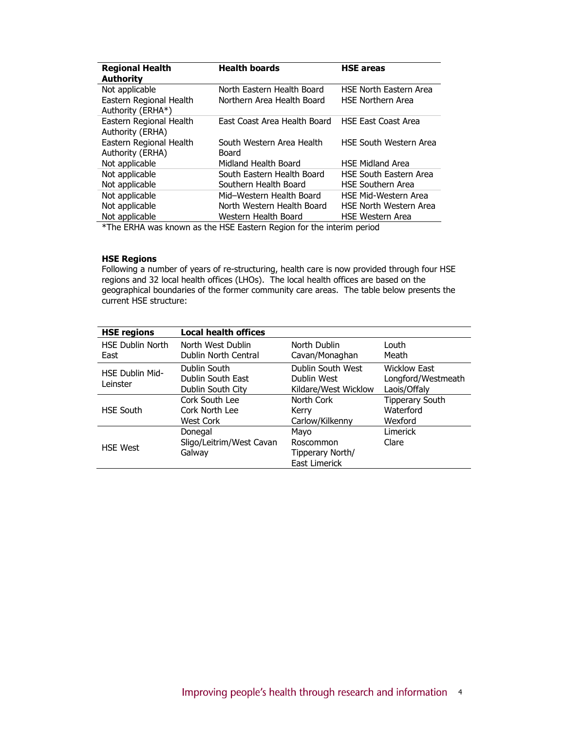| <b>Regional Health</b><br>Authority          | <b>Health boards</b>                                                         | <b>HSE areas</b>              |
|----------------------------------------------|------------------------------------------------------------------------------|-------------------------------|
| Not applicable                               | North Eastern Health Board                                                   | <b>HSE North Eastern Area</b> |
| Eastern Regional Health<br>Authority (ERHA*) | Northern Area Health Board                                                   | <b>HSE Northern Area</b>      |
| Eastern Regional Health<br>Authority (ERHA)  | East Coast Area Health Board                                                 | <b>HSE East Coast Area</b>    |
| Eastern Regional Health<br>Authority (ERHA)  | South Western Area Health<br>Board                                           | <b>HSE South Western Area</b> |
| Not applicable                               | Midland Health Board                                                         | <b>HSE Midland Area</b>       |
| Not applicable                               | South Eastern Health Board                                                   | <b>HSE South Eastern Area</b> |
| Not applicable                               | Southern Health Board                                                        | <b>HSE Southern Area</b>      |
| Not applicable                               | Mid-Western Health Board                                                     | HSE Mid-Western Area          |
| Not applicable                               | North Western Health Board                                                   | <b>HSE North Western Area</b> |
| Not applicable                               | Western Health Board                                                         | <b>HSE Western Area</b>       |
|                                              | $*$ The FBUA $$ e luce un es the UCE Festeur Besien feu the interior neuis-l |                               |

The ERHA was known as the HSE Eastern Region for the interim period

## HSE Regions

Following a number of years of re-structuring, health care is now provided through four HSE regions and 32 local health offices (LHOs). The local health offices are based on the geographical boundaries of the former community care areas. The table below presents the current HSE structure:

| <b>HSE regions</b>              | <b>Local health offices</b>                            |                                                          |                                                           |
|---------------------------------|--------------------------------------------------------|----------------------------------------------------------|-----------------------------------------------------------|
| <b>HSE Dublin North</b><br>East | North West Dublin<br>Dublin North Central              | North Dublin<br>Cavan/Monaghan                           | Louth.<br>Meath                                           |
| HSE Dublin Mid-<br>Leinster     | Dublin South<br>Dublin South East<br>Dublin South City | Dublin South West<br>Dublin West<br>Kildare/West Wicklow | <b>Wicklow East</b><br>Longford/Westmeath<br>Laois/Offaly |
| <b>HSE South</b>                | Cork South Lee<br>Cork North Lee<br>West Cork          | North Cork<br>Kerry<br>Carlow/Kilkenny                   | <b>Tipperary South</b><br>Waterford<br>Wexford            |
| <b>HSE West</b>                 | Donegal<br>Sligo/Leitrim/West Cavan<br>Galway          | Mayo<br>Roscommon<br>Tipperary North/<br>East Limerick   | Limerick<br>Clare                                         |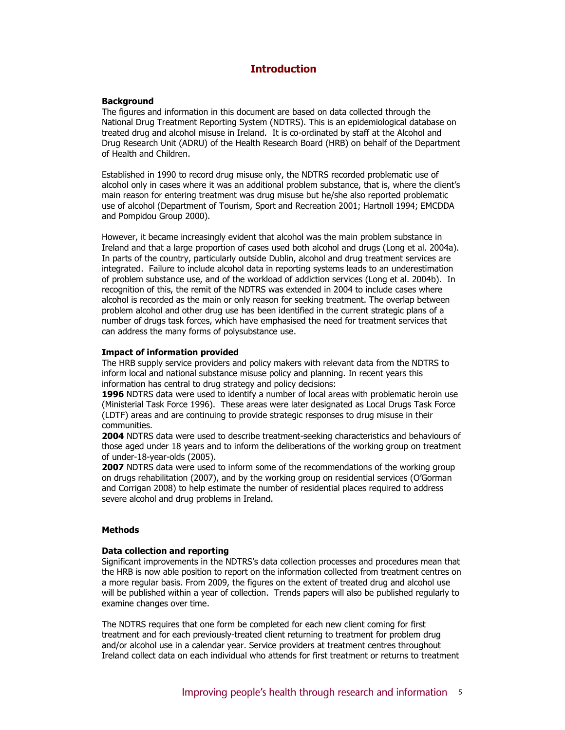# Introduction

#### **Background**

The figures and information in this document are based on data collected through the National Drug Treatment Reporting System (NDTRS). This is an epidemiological database on treated drug and alcohol misuse in Ireland. It is co-ordinated by staff at the Alcohol and Drug Research Unit (ADRU) of the Health Research Board (HRB) on behalf of the Department of Health and Children.

Established in 1990 to record drug misuse only, the NDTRS recorded problematic use of alcohol only in cases where it was an additional problem substance, that is, where the client's main reason for entering treatment was drug misuse but he/she also reported problematic use of alcohol (Department of Tourism, Sport and Recreation 2001; Hartnoll 1994; EMCDDA and Pompidou Group 2000).

However, it became increasingly evident that alcohol was the main problem substance in Ireland and that a large proportion of cases used both alcohol and drugs (Long et al. 2004a). In parts of the country, particularly outside Dublin, alcohol and drug treatment services are integrated. Failure to include alcohol data in reporting systems leads to an underestimation of problem substance use, and of the workload of addiction services (Long et al. 2004b). In recognition of this, the remit of the NDTRS was extended in 2004 to include cases where alcohol is recorded as the main or only reason for seeking treatment. The overlap between problem alcohol and other drug use has been identified in the current strategic plans of a number of drugs task forces, which have emphasised the need for treatment services that can address the many forms of polysubstance use.

#### Impact of information provided

The HRB supply service providers and policy makers with relevant data from the NDTRS to inform local and national substance misuse policy and planning. In recent years this information has central to drug strategy and policy decisions:

1996 NDTRS data were used to identify a number of local areas with problematic heroin use (Ministerial Task Force 1996). These areas were later designated as Local Drugs Task Force (LDTF) areas and are continuing to provide strategic responses to drug misuse in their communities.

2004 NDTRS data were used to describe treatment-seeking characteristics and behaviours of those aged under 18 years and to inform the deliberations of the working group on treatment of under-18-year-olds (2005).

**2007** NDTRS data were used to inform some of the recommendations of the working group on drugs rehabilitation (2007), and by the working group on residential services (O'Gorman and Corrigan 2008) to help estimate the number of residential places required to address severe alcohol and drug problems in Ireland.

## **Methods**

#### Data collection and reporting

Significant improvements in the NDTRS's data collection processes and procedures mean that the HRB is now able position to report on the information collected from treatment centres on a more regular basis. From 2009, the figures on the extent of treated drug and alcohol use will be published within a year of collection. Trends papers will also be published regularly to examine changes over time.

The NDTRS requires that one form be completed for each new client coming for first treatment and for each previously-treated client returning to treatment for problem drug and/or alcohol use in a calendar year. Service providers at treatment centres throughout Ireland collect data on each individual who attends for first treatment or returns to treatment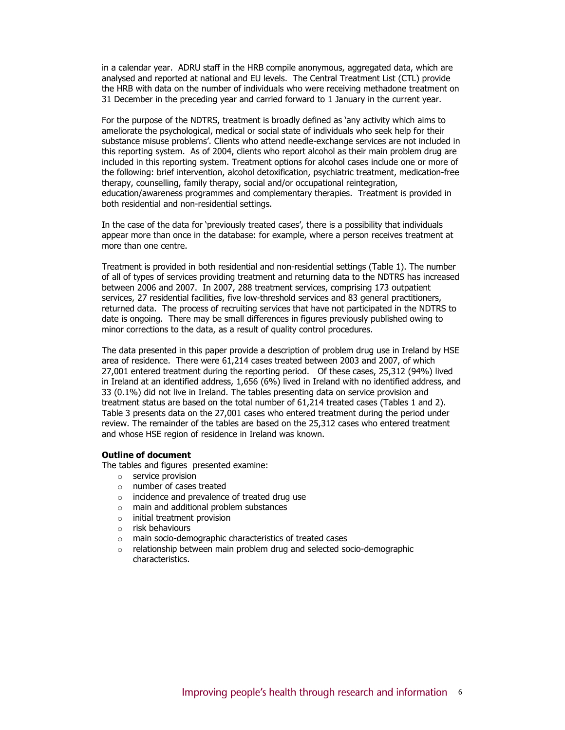in a calendar year. ADRU staff in the HRB compile anonymous, aggregated data, which are analysed and reported at national and EU levels. The Central Treatment List (CTL) provide the HRB with data on the number of individuals who were receiving methadone treatment on 31 December in the preceding year and carried forward to 1 January in the current year.

For the purpose of the NDTRS, treatment is broadly defined as 'any activity which aims to ameliorate the psychological, medical or social state of individuals who seek help for their substance misuse problems'. Clients who attend needle-exchange services are not included in this reporting system. As of 2004, clients who report alcohol as their main problem drug are included in this reporting system. Treatment options for alcohol cases include one or more of the following: brief intervention, alcohol detoxification, psychiatric treatment, medication-free therapy, counselling, family therapy, social and/or occupational reintegration, education/awareness programmes and complementary therapies. Treatment is provided in both residential and non-residential settings.

In the case of the data for 'previously treated cases', there is a possibility that individuals appear more than once in the database: for example, where a person receives treatment at more than one centre.

Treatment is provided in both residential and non-residential settings (Table 1). The number of all of types of services providing treatment and returning data to the NDTRS has increased between 2006 and 2007. In 2007, 288 treatment services, comprising 173 outpatient services, 27 residential facilities, five low-threshold services and 83 general practitioners, returned data. The process of recruiting services that have not participated in the NDTRS to date is ongoing. There may be small differences in figures previously published owing to minor corrections to the data, as a result of quality control procedures.

The data presented in this paper provide a description of problem drug use in Ireland by HSE area of residence. There were 61,214 cases treated between 2003 and 2007, of which 27,001 entered treatment during the reporting period. Of these cases, 25,312 (94%) lived in Ireland at an identified address, 1,656 (6%) lived in Ireland with no identified address, and 33 (0.1%) did not live in Ireland. The tables presenting data on service provision and treatment status are based on the total number of 61,214 treated cases (Tables 1 and 2). Table 3 presents data on the 27,001 cases who entered treatment during the period under review. The remainder of the tables are based on the 25,312 cases who entered treatment and whose HSE region of residence in Ireland was known.

#### Outline of document

The tables and figures presented examine:

- o service provision
- o number of cases treated
- o incidence and prevalence of treated drug use
- o main and additional problem substances
- o initial treatment provision
- o risk behaviours
- o main socio-demographic characteristics of treated cases
- o relationship between main problem drug and selected socio-demographic characteristics.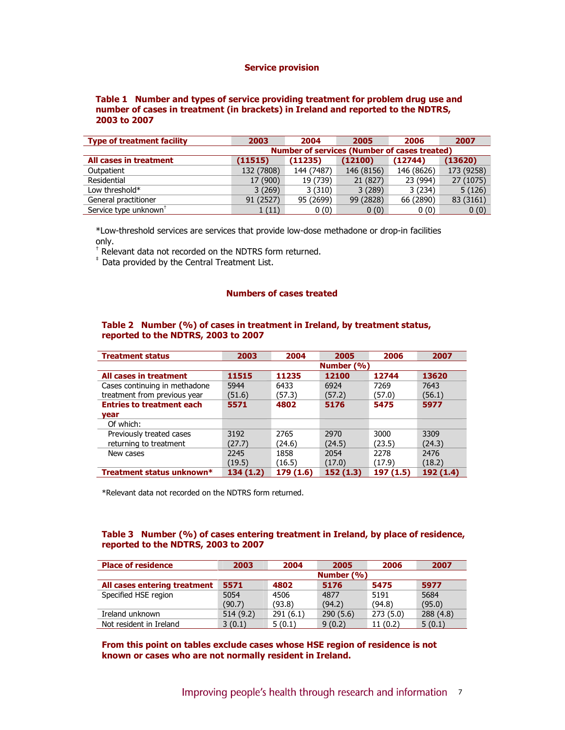#### Service provision

## Table 1 Number and types of service providing treatment for problem drug use and number of cases in treatment (in brackets) in Ireland and reported to the NDTRS, 2003 to 2007

| <b>Type of treatment facility</b> | 2003                                                | 2004       | 2005       | 2006       | 2007       |  |  |
|-----------------------------------|-----------------------------------------------------|------------|------------|------------|------------|--|--|
|                                   | <b>Number of services (Number of cases treated)</b> |            |            |            |            |  |  |
| All cases in treatment            | (11515)                                             | (11235)    | (12100)    | (12744)    | (13620)    |  |  |
| Outpatient                        | 132 (7808)                                          | 144 (7487) | 146 (8156) | 146 (8626) | 173 (9258) |  |  |
| Residential                       | 17 (900)                                            | 19 (739)   | 21 (827)   | 23 (994)   | 27 (1075)  |  |  |
| Low threshold*                    | 3(269)                                              | 3(310)     | 3(289)     | 3(234)     | 5(126)     |  |  |
| General practitioner              | 91 (2527)                                           | 95 (2699)  | 99 (2828)  | 66 (2890)  | 83 (3161)  |  |  |
| Service type unknown <sup>+</sup> | 1(11)                                               | 0(0)       | 0(0)       | 0(0)       | 0(0)       |  |  |

\*Low-threshold services are services that provide low-dose methadone or drop-in facilities only.

† Relevant data not recorded on the NDTRS form returned.

‡ Data provided by the Central Treatment List.

#### Numbers of cases treated

#### Table 2 Number (%) of cases in treatment in Ireland, by treatment status, reported to the NDTRS, 2003 to 2007

| <b>Treatment status</b>          | 2003          | 2004      | 2005     | 2006     | 2007      |  |  |
|----------------------------------|---------------|-----------|----------|----------|-----------|--|--|
|                                  | Number $(\%)$ |           |          |          |           |  |  |
| All cases in treatment           | 11515         | 11235     | 12100    | 12744    | 13620     |  |  |
| Cases continuing in methadone    | 5944          | 6433      | 6924     | 7269     | 7643      |  |  |
| treatment from previous year     | (51.6)        | (57.3)    | (57.2)   | (57.0)   | (56.1)    |  |  |
| <b>Entries to treatment each</b> | 5571          | 4802      | 5176     | 5475     | 5977      |  |  |
| vear                             |               |           |          |          |           |  |  |
| Of which:                        |               |           |          |          |           |  |  |
| Previously treated cases         | 3192          | 2765      | 2970     | 3000     | 3309      |  |  |
| returning to treatment           | (27.7)        | (24.6)    | (24.5)   | (23.5)   | (24.3)    |  |  |
| New cases                        | 2245          | 1858      | 2054     | 2278     | 2476      |  |  |
|                                  | (19.5)        | (16.5)    | (17.0)   | (17.9)   | (18.2)    |  |  |
| Treatment status unknown*        | 134(1.2)      | 179 (1.6) | 152(1.3) | 197(1.5) | 192 (1.4) |  |  |

\*Relevant data not recorded on the NDTRS form returned.

## Table 3 Number (%) of cases entering treatment in Ireland, by place of residence, reported to the NDTRS, 2003 to 2007

| <b>Place of residence</b>    | 2003       | 2004     | 2005     | 2006     | 2007     |  |
|------------------------------|------------|----------|----------|----------|----------|--|
|                              | Number (%) |          |          |          |          |  |
| All cases entering treatment | 5571       | 4802     | 5176     | 5475     | 5977     |  |
| Specified HSE region         | 5054       | 4506     | 4877     | 5191     | 5684     |  |
|                              | (90.7)     | (93.8)   | (94.2)   | (94.8)   | (95.0)   |  |
| Ireland unknown              | 514(9.2)   | 291(6.1) | 290(5.6) | 273(5.0) | 288(4.8) |  |
| Not resident in Ireland      | 3(0.1)     | 5(0.1)   | 9(0.2)   | 11(0.2)  | 5(0.1)   |  |

From this point on tables exclude cases whose HSE region of residence is not known or cases who are not normally resident in Ireland.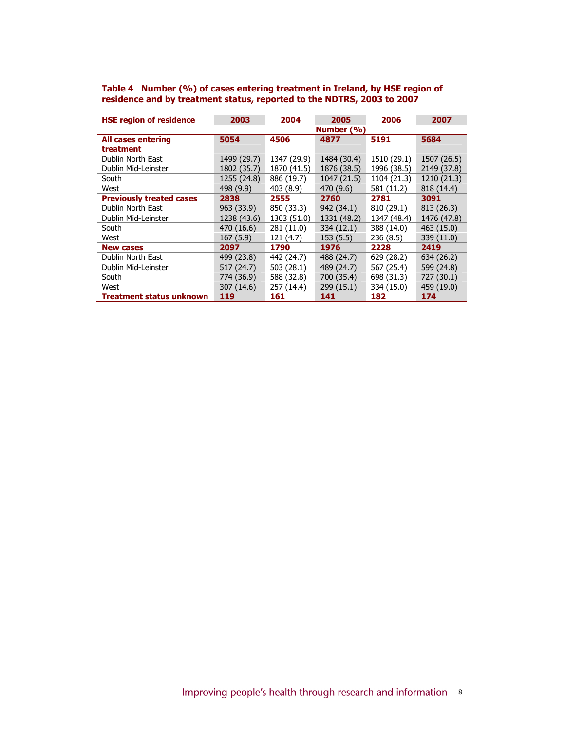| <b>HSE region of residence</b>  | 2003        | 2004        | 2005        | 2006        | 2007        |
|---------------------------------|-------------|-------------|-------------|-------------|-------------|
|                                 |             |             | Number (%)  |             |             |
| <b>All cases entering</b>       | 5054        | 4506        | 4877        | 5191        | 5684        |
| treatment                       |             |             |             |             |             |
| Dublin North East               | 1499 (29.7) | 1347 (29.9) | 1484 (30.4) | 1510 (29.1) | 1507 (26.5) |
| Dublin Mid-Leinster             | 1802 (35.7) | 1870 (41.5) | 1876 (38.5) | 1996 (38.5) | 2149 (37.8) |
| South                           | 1255 (24.8) | 886 (19.7)  | 1047(21.5)  | 1104 (21.3) | 1210 (21.3) |
| West                            | 498 (9.9)   | 403 (8.9)   | 470 (9.6)   | 581 (11.2)  | 818 (14.4)  |
| <b>Previously treated cases</b> | 2838        | 2555        | 2760        | 2781        | 3091        |
| Dublin North East               | 963 (33.9)  | 850 (33.3)  | 942 (34.1)  | 810 (29.1)  | 813 (26.3)  |
| Dublin Mid-Leinster             | 1238 (43.6) | 1303 (51.0) | 1331 (48.2) | 1347 (48.4) | 1476 (47.8) |
| South                           | 470 (16.6)  | 281 (11.0)  | 334 (12.1)  | 388 (14.0)  | 463 (15.0)  |
| West                            | 167(5.9)    | 121 (4.7)   | 153(5.5)    | 236 (8.5)   | 339 (11.0)  |
| <b>New cases</b>                | 2097        | 1790        | 1976        | 2228        | 2419        |
| Dublin North East               | 499 (23.8)  | 442 (24.7)  | 488 (24.7)  | 629 (28.2)  | 634 (26.2)  |
| Dublin Mid-Leinster             | 517 (24.7)  | 503 (28.1)  | 489 (24.7)  | 567 (25.4)  | 599 (24.8)  |
| South                           | 774 (36.9)  | 588 (32.8)  | 700 (35.4)  | 698 (31.3)  | 727 (30.1)  |
| West                            | 307 (14.6)  | 257 (14.4)  | 299 (15.1)  | 334 (15.0)  | 459 (19.0)  |
| Treatment status unknown        | 119         | 161         | 141         | 182         | 174         |

Table 4 Number (%) of cases entering treatment in Ireland, by HSE region of residence and by treatment status, reported to the NDTRS, 2003 to 2007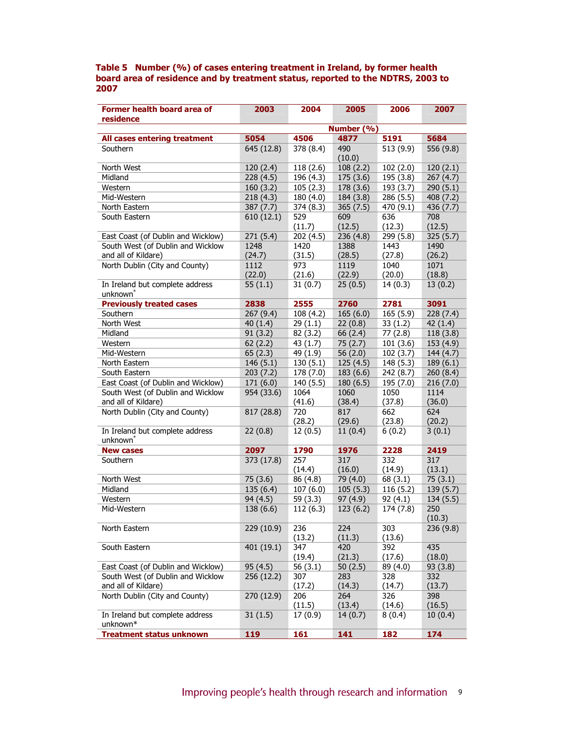#### Table 5 Number (%) of cases entering treatment in Ireland, by former health board area of residence and by treatment status, reported to the NDTRS, 2003 to 2007

| Former health board area of                             | 2003       | 2004      | 2005          | 2006      | 2007      |
|---------------------------------------------------------|------------|-----------|---------------|-----------|-----------|
| residence                                               |            |           |               |           |           |
|                                                         |            |           | Number (%)    |           |           |
| <b>All cases entering treatment</b>                     | 5054       | 4506      | 4877          | 5191      | 5684      |
| Southern                                                | 645 (12.8) | 378 (8.4) | 490<br>(10.0) | 513 (9.9) | 556 (9.8) |
| North West                                              | 120(2.4)   | 118 (2.6) | 108(2.2)      | 102(2.0)  | 120(2.1)  |
| Midland                                                 | 228 (4.5)  | 196 (4.3) | 175 (3.6)     | 195 (3.8) | 267(4.7)  |
| Western                                                 | 160(3.2)   | 105(2.3)  | 178 (3.6)     | 193 (3.7) | 290(5.1)  |
| Mid-Western                                             | 218(4.3)   | 180 (4.0) | 184 (3.8)     | 286 (5.5) | 408 (7.2) |
| North Eastern                                           | 387(7.7)   | 374 (8.3) | 365(7.5)      | 470 (9.1) | 436 (7.7) |
| South Eastern                                           | 610(12.1)  | 529       | 609           | 636       | 708       |
|                                                         |            | (11.7)    | (12.5)        | (12.3)    | (12.5)    |
| East Coast (of Dublin and Wicklow)                      | 271(5.4)   | 202 (4.5) | 236 (4.8)     | 299 (5.8) | 325(5.7)  |
| South West (of Dublin and Wicklow                       | 1248       | 1420      | 1388          | 1443      | 1490      |
| and all of Kildare)                                     | (24.7)     | (31.5)    | (28.5)        | (27.8)    | (26.2)    |
| North Dublin (City and County)                          | 1112       | 973       | 1119          | 1040      | 1071      |
|                                                         | (22.0)     | (21.6)    | (22.9)        | (20.0)    | (18.8)    |
| In Ireland but complete address<br>unknown <sup>*</sup> | 55(1.1)    | 31(0.7)   | 25(0.5)       | 14(0.3)   | 13(0.2)   |
| <b>Previously treated cases</b>                         | 2838       | 2555      | 2760          | 2781      | 3091      |
| Southern                                                | 267(9.4)   | 108 (4.2) | 165(6.0)      | 165(5.9)  | 228(7.4)  |
| North West                                              | 40(1.4)    | 29(1.1)   | 22(0.8)       | 33(1.2)   | 42(1.4)   |
| Midland                                                 | 91(3.2)    | 82 (3.2)  | 66 (2.4)      | 77 (2.8)  | 118(3.8)  |
| Western                                                 | 62(2.2)    | 43 (1.7)  | 75(2.7)       | 101(3.6)  | 153 (4.9) |
| Mid-Western                                             | 65(2.3)    | 49 (1.9)  | 56 $(2.0)$    | 102(3.7)  | 144 (4.7) |
| North Eastern                                           | 146(5.1)   | 130(5.1)  | 125(4.5)      | 148 (5.3) | 189(6.1)  |
| South Eastern                                           | 203(7.2)   | 178 (7.0) | 183 (6.6)     | 242 (8.7) | 260(8.4)  |
| East Coast (of Dublin and Wicklow)                      | 171(6.0)   | 140 (5.5) | 180(6.5)      | 195 (7.0) | 216(7.0)  |
| South West (of Dublin and Wicklow                       | 954 (33.6) | 1064      | 1060          | 1050      | 1114      |
| and all of Kildare)                                     |            | (41.6)    | (38.4)        | (37.8)    | (36.0)    |
| North Dublin (City and County)                          | 817 (28.8) | 720       | 817           | 662       | 624       |
|                                                         |            | (28.2)    | (29.6)        | (23.8)    | (20.2)    |
| In Ireland but complete address<br>unknown <sup>*</sup> | 22(0.8)    | 12(0.5)   | 11(0.4)       | 6(0.2)    | 3(0.1)    |
| <b>New cases</b>                                        | 2097       | 1790      | 1976          | 2228      | 2419      |
| Southern                                                | 373 (17.8) | 257       | 317           | 332       | 317       |
|                                                         |            | (14.4)    | (16.0)        | (14.9)    | (13.1)    |
| North West                                              | 75 (3.6)   | 86 (4.8)  | 79 (4.0)      | 68 (3.1)  | 75(3.1)   |
| Midland                                                 | 135(6.4)   | 107(6.0)  | 105(5.3)      | 116(5.2)  | 139 (5.7) |
| Western                                                 | 94 (4.5)   | 59(3.3)   | 97(4.9)       | 92(4.1)   | 134 (5.5) |
| Mid-Western                                             | 138 (6.6)  | 112(6.3)  | 123(6.2)      | 174 (7.8) | 250       |
|                                                         |            |           |               |           | (10.3)    |
| North Eastern                                           | 229 (10.9) | 236       | 224           | 303       | 236 (9.8) |
|                                                         |            | (13.2)    | (11.3)        | (13.6)    |           |
| South Eastern                                           | 401 (19.1) | 347       | 420           | 392       | 435       |
|                                                         |            | (19.4)    | (21.3)        | (17.6)    | (18.0)    |
| East Coast (of Dublin and Wicklow)                      | 95 (4.5)   | 56(3.1)   | 50(2.5)       | 89 (4.0)  | 93 (3.8)  |
| South West (of Dublin and Wicklow                       | 256 (12.2) | 307       | 283           | 328       | 332       |
| and all of Kildare)                                     |            | (17.2)    | (14.3)        | (14.7)    | (13.7)    |
| North Dublin (City and County)                          | 270 (12.9) | 206       | 264           | 326       | 398       |
|                                                         |            | (11.5)    | (13.4)        | (14.6)    | (16.5)    |
| In Ireland but complete address<br>unknown*             | 31(1.5)    | 17(0.9)   | 14(0.7)       | 8(0.4)    | 10(0.4)   |
| <b>Treatment status unknown</b>                         | 119        | 161       | 141           | 182       | 174       |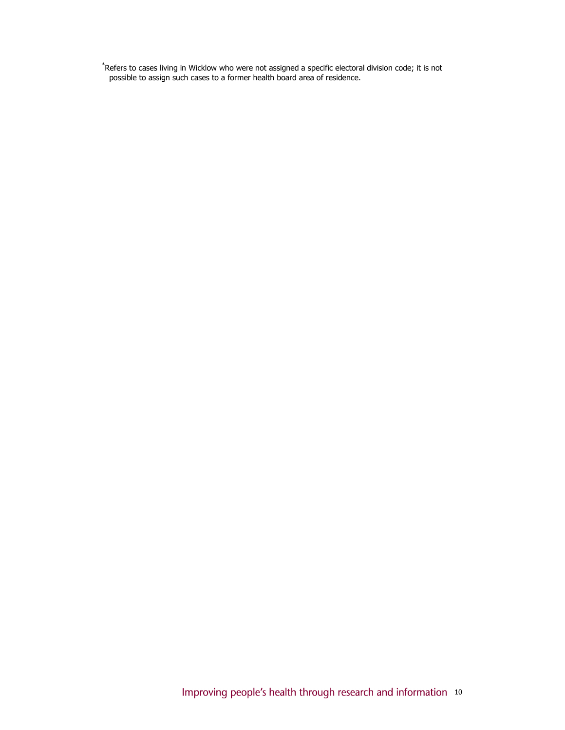\* Refers to cases living in Wicklow who were not assigned a specific electoral division code; it is not possible to assign such cases to a former health board area of residence.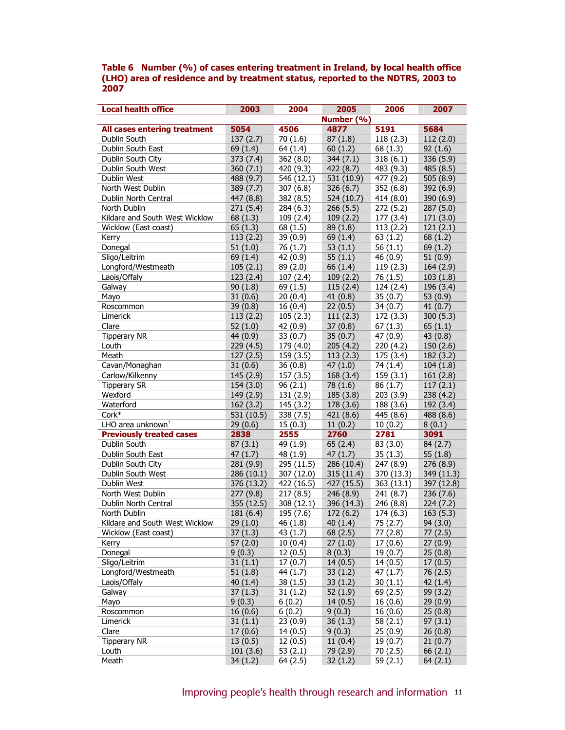#### Table 6 Number (%) of cases entering treatment in Ireland, by local health office (LHO) area of residence and by treatment status, reported to the NDTRS, 2003 to 2007

| <b>Local health office</b>      | 2003       | 2004       | 2005       | 2006       | 2007        |
|---------------------------------|------------|------------|------------|------------|-------------|
|                                 |            |            | Number (%) |            |             |
| All cases entering treatment    | 5054       | 4506       | 4877       | 5191       | 5684        |
| Dublin South                    | 137(2.7)   | 70(1.6)    | 87(1.8)    | 118(2.3)   | 112(2.0)    |
| Dublin South East               | 69(1.4)    | 64 (1.4)   | 60(1.2)    | 68 (1.3)   | 92(1.6)     |
| Dublin South City               | 373(7.4)   | 362(8.0)   | 344(7.1)   | 318(6.1)   | 336 (5.9)   |
| Dublin South West               | 360(7.1)   | 420 (9.3)  | 422(8.7)   | 483 (9.3)  | 485 (8.5)   |
| Dublin West                     | 488 (9.7)  | 546 (12.1) | 531(10.9)  | 477 (9.2)  | 505 (8.9)   |
| North West Dublin               | 389 (7.7)  | 307(6.8)   | 326(6.7)   | 352 (6.8)  | 392 (6.9)   |
| Dublin North Central            | 447 (8.8)  | 382 (8.5)  | 524 (10.7) | 414 (8.0)  | 390 $(6.9)$ |
| North Dublin                    | 271(5.4)   | 284 (6.3)  | 266(5.5)   | 272(5.2)   | 287(5.0)    |
| Kildare and South West Wicklow  | 68(1.3)    | 109(2.4)   | 109(2.2)   | 177 (3.4)  | 171(3.0)    |
| Wicklow (East coast)            | 65(1.3)    | 68 (1.5)   | 89(1.8)    | 113(2.2)   | 121(2.1)    |
| Kerry                           | 113(2.2)   | 39(0.9)    | 69(1.4)    | 63(1.2)    | 68(1.2)     |
| Donegal                         | 51(1.0)    | 76 (1.7)   | 53(1.1)    | 56 $(1.1)$ | 69(1.2)     |
| Sligo/Leitrim                   | 69(1.4)    | 42(0.9)    | 55(1.1)    | 46(0.9)    | 51(0.9)     |
| Longford/Westmeath              | 105(2.1)   | 89 (2.0)   | 66(1.4)    | 119(2.3)   | 164(2.9)    |
| Laois/Offaly                    | 123(2.4)   | 107(2.4)   | 109(2.2)   | 76 (1.5)   | 103(1.8)    |
| Galway                          | 90(1.8)    | 69 (1.5)   | 115(2.4)   | 124 (2.4)  | 196(3.4)    |
| Mayo                            | 31(0.6)    | 20(0.4)    | 41(0.8)    | 35(0.7)    | 53 $(0.9)$  |
| Roscommon                       | 39(0.8)    | 16(0.4)    | 22(0.5)    | 34(0.7)    | 41(0.7)     |
| Limerick                        | 113(2.2)   | 105(2.3)   | 111(2.3)   | 172 (3.3)  | 300(5.3)    |
| Clare                           | 52(1.0)    | 42(0.9)    | 37(0.8)    | 67(1.3)    | 65(1.1)     |
| <b>Tipperary NR</b>             | 44 (0.9)   | 33(0.7)    | 35(0.7)    | 47(0.9)    | 43(0.8)     |
| Louth                           | 229(4.5)   | 179 (4.0)  | 205(4.2)   | 220(4.2)   | 150(2.6)    |
| Meath                           | 127(2.5)   | 159(3.5)   | 113(2.3)   | 175 (3.4)  | 182(3.2)    |
| Cavan/Monaghan                  | 31(0.6)    | 36(0.8)    | 47(1.0)    | 74 (1.4)   | 104(1.8)    |
| Carlow/Kilkenny                 | 145(2.9)   | 157(3.5)   | 168(3.4)   | 159(3.1)   | 161(2.8)    |
| <b>Tipperary SR</b>             | 154(3.0)   | 96(2.1)    | 78(1.6)    | 86(1.7)    | 117(2.1)    |
| Wexford                         | 149(2.9)   | 131(2.9)   | 185(3.8)   | 203(3.9)   | 238(4.2)    |
| Waterford                       | 162(3.2)   | 145 (3.2)  | 178 (3.6)  | 188 (3.6)  | 192 (3.4)   |
| Cork*                           | 531 (10.5) | 338 (7.5)  | 421(8.6)   | 445 (8.6)  | 488 (8.6)   |
| LHO area unknown <sup>+</sup>   | 29(0.6)    | 15(0.3)    | 11(0.2)    | 10(0.2)    | 8(0.1)      |
| <b>Previously treated cases</b> | 2838       | 2555       | 2760       | 2781       | 3091        |
| Dublin South                    | 87(3.1)    | 49 (1.9)   | 65(2.4)    | 83(3.0)    | 84(2.7)     |
| Dublin South East               | 47(1.7)    | 48 (1.9)   | 47(1.7)    | 35(1.3)    | 55 $(1.8)$  |
| Dublin South City               | 281 (9.9)  | 295 (11.5) | 286 (10.4) | 247 (8.9)  | 276 (8.9)   |
| Dublin South West               | 286 (10.1) | 307 (12.0) | 315(11.4)  | 370 (13.3) | 349 (11.3)  |
| Dublin West                     | 376 (13.2) | 422 (16.5) | 427 (15.5) | 363(13.1)  | 397 (12.8)  |
| North West Dublin               | 277(9.8)   | 217(8.5)   | 246(8.9)   | 241 (8.7)  | 236(7.6)    |
| Dublin North Central            | 355 (12.5) | 308(12.1)  | 396 (14.3) | 246 (8.8)  | 224(7.2)    |
| North Dublin                    | 181 (6.4)  | 195 (7.6)  | 172(6.2)   | 174 (6.3)  | 163(5.3)    |
| Kildare and South West Wicklow  | 29(1.0)    | 46 (1.8)   | 40(1.4)    | 75 (2.7)   | 94(3.0)     |
| Wicklow (East coast)            | 37(1.3)    | 43 (1.7)   | 68(2.5)    | 77(2.8)    | 77(2.5)     |
| Kerry                           | 57(2.0)    | 10(0.4)    | 27(1.0)    | 17(0.6)    | 27(0.9)     |
| Donegal                         | 9(0.3)     | 12(0.5)    | 8(0.3)     | 19(0.7)    | 25(0.8)     |
| Sligo/Leitrim                   | 31(1.1)    | 17(0.7)    | 14(0.5)    | 14(0.5)    | 17(0.5)     |
| Longford/Westmeath              | 51(1.8)    | 44 (1.7)   | 33(1.2)    | 47 (1.7)   | 76 (2.5)    |
| Laois/Offaly                    | 40(1.4)    | 38(1.5)    | 33(1.2)    | 30(1.1)    | 42 (1.4)    |
| Galway                          | 37(1.3)    | 31(1.2)    | 52 $(1.9)$ | 69 (2.5)   | 99 (3.2)    |
| Mayo                            | 9(0.3)     | 6(0.2)     | 14(0.5)    | 16(0.6)    | 29(0.9)     |
| Roscommon                       | 16(0.6)    | 6(0.2)     | 9(0.3)     | 16(0.6)    | 25(0.8)     |
| Limerick                        | 31(1.1)    | 23(0.9)    | 36(1.3)    | 58 $(2.1)$ | 97(3.1)     |
| Clare                           | 17(0.6)    | 14(0.5)    | 9(0.3)     | 25(0.9)    | 26(0.8)     |
| Tipperary NR                    | 13(0.5)    | 12(0.5)    | 11(0.4)    | 19(0.7)    | 21(0.7)     |
| Louth                           | 101(3.6)   | 53 $(2.1)$ | 79 (2.9)   | 70 (2.5)   | 66(2.1)     |
| Meath                           | 34(1.2)    | 64 (2.5)   | 32(1.2)    | 59 $(2.1)$ | 64(2.1)     |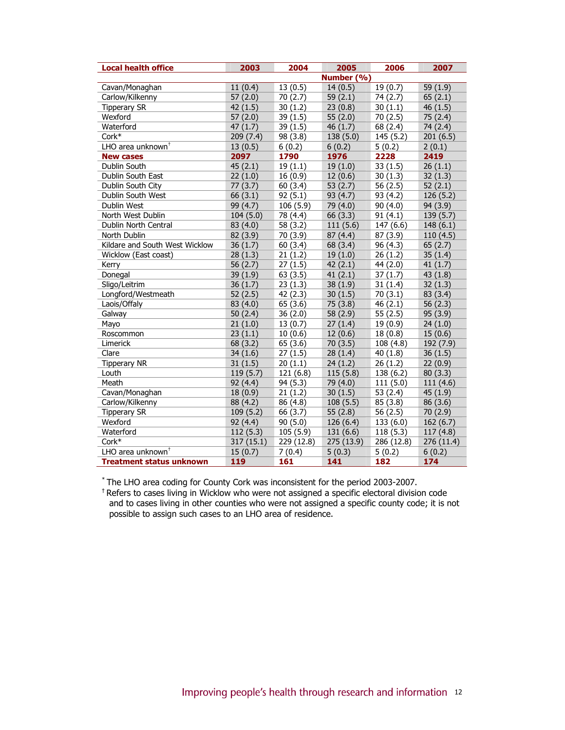| <b>Local health office</b>      | 2003       | 2004                 | 2005       | 2006       | 2007       |
|---------------------------------|------------|----------------------|------------|------------|------------|
|                                 |            |                      | Number (%) |            |            |
| Cavan/Monaghan                  | 11(0.4)    | 13(0.5)              | 14(0.5)    | 19(0.7)    | 59 (1.9)   |
| Carlow/Kilkenny                 | 57(2.0)    | 70(2.7)              | 59(2.1)    | 74 (2.7)   | 65(2.1)    |
| <b>Tipperary SR</b>             | 42(1.5)    | 30(1.2)              | 23(0.8)    | 30(1.1)    | 46(1.5)    |
| Wexford                         | 57(2.0)    | 39(1.5)              | 55 $(2.0)$ | 70(2.5)    | 75(2.4)    |
| Waterford                       | 47(1.7)    | 39(1.5)              | 46(1.7)    | 68 (2.4)   | 74 (2.4)   |
| Cork*                           | 209(7.4)   | 98 (3.8)             | 138(5.0)   | 145 (5.2)  | 201(6.5)   |
| LHO area unknown <sup>+</sup>   | 13(0.5)    | 6(0.2)               | 6(0.2)     | 5(0.2)     | 2(0.1)     |
| <b>New cases</b>                | 2097       | 1790                 | 1976       | 2228       | 2419       |
| Dublin South                    | 45(2.1)    | 19(1.1)              | 19(1.0)    | 33(1.5)    | 26(1.1)    |
| Dublin South East               | 22(1.0)    | 16(0.9)              | 12(0.6)    | 30(1.3)    | 32(1.3)    |
| Dublin South City               | 77(3.7)    | 60(3.4)              | 53 $(2.7)$ | 56 $(2.5)$ | 52(2.1)    |
| Dublin South West               | 66(3.1)    | 92(5.1)              | 93(4.7)    | 93 (4.2)   | 126 (5.2)  |
| Dublin West                     | 99(4.7)    | 106(5.9)             | 79 (4.0)   | 90(4.0)    | 94 (3.9)   |
| North West Dublin               | 104(5.0)   | 78 (4.4)             | 66 (3.3)   | 91(4.1)    | 139(5.7)   |
| Dublin North Central            | 83 (4.0)   | 58 (3.2)             | 111(5.6)   | 147 (6.6)  | 148(6.1)   |
| North Dublin                    | 82 (3.9)   | 70 (3.9)             | 87(4.4)    | 87 (3.9)   | 110(4.5)   |
| Kildare and South West Wicklow  | 36(1.7)    | 60(3.4)              | 68 (3.4)   | 96(4.3)    | 65(2.7)    |
| Wicklow (East coast)            | 28(1.3)    | 21(1.2)              | 19(1.0)    | 26(1.2)    | 35(1.4)    |
| Kerry                           | 56 $(2.7)$ | 27(1.5)              | 42(2.1)    | 44 (2.0)   | 41(1.7)    |
| Donegal                         | 39(1.9)    | 63(3.5)              | 41(2.1)    | 37(1.7)    | 43(1.8)    |
| Sligo/Leitrim                   | 36(1.7)    | 23(1.3)              | 38(1.9)    | 31(1.4)    | 32(1.3)    |
| Longford/Westmeath              | 52(2.5)    | 42(2.3)              | 30(1.5)    | 70(3.1)    | 83 (3.4)   |
| Laois/Offaly                    | 83 (4.0)   | 65(3.6)              | 75 (3.8)   | 46(2.1)    | 56 $(2.3)$ |
| Galway                          | 50 $(2.4)$ | 36(2.0)              | 58 (2.9)   | 55(2.5)    | 95 (3.9)   |
| Mayo                            | 21(1.0)    | 13(0.7)              | 27(1.4)    | 19(0.9)    | 24(1.0)    |
| Roscommon                       | 23(1.1)    | 10(0.6)              | 12(0.6)    | 18(0.8)    | 15(0.6)    |
| Limerick                        | 68 (3.2)   | 65(3.6)              | 70(3.5)    | 108 (4.8)  | 192 (7.9)  |
| Clare                           | 34(1.6)    | $\overline{27}(1.5)$ | 28(1.4)    | 40(1.8)    | 36(1.5)    |
| <b>Tipperary NR</b>             | 31(1.5)    | 20(1.1)              | 24(1.2)    | 26(1.2)    | 22(0.9)    |
| Louth                           | 119(5.7)   | 121(6.8)             | 115(5.8)   | 138 (6.2)  | 80(3.3)    |
| Meath                           | 92(4.4)    | 94 (5.3)             | 79 (4.0)   | 111(5.0)   | 111(4.6)   |
| Cavan/Monaghan                  | 18(0.9)    | 21(1.2)              | 30(1.5)    | 53 $(2.4)$ | 45(1.9)    |
| Carlow/Kilkenny                 | 88 (4.2)   | 86 (4.8)             | 108(5.5)   | 85 (3.8)   | 86 (3.6)   |
| <b>Tipperary SR</b>             | 109(5.2)   | 66 (3.7)             | 55 $(2.8)$ | 56 $(2.5)$ | 70 (2.9)   |
| Wexford                         | 92(4.4)    | 90(5.0)              | 126(6.4)   | 133(6.0)   | 162(6.7)   |
| Waterford                       | 112(5.3)   | 105(5.9)             | 131(6.6)   | 118(5.3)   | 117(4.8)   |
| Cork*                           | 317 (15.1) | 229 (12.8)           | 275 (13.9) | 286 (12.8) | 276 (11.4) |
| LHO area unknown <sup>+</sup>   | 15(0.7)    | 7(0.4)               | 5(0.3)     | 5(0.2)     | 6(0.2)     |
| <b>Treatment status unknown</b> | 119        | 161                  | 141        | 182        | 174        |

\* The LHO area coding for County Cork was inconsistent for the period 2003-2007.

† Refers to cases living in Wicklow who were not assigned a specific electoral division code and to cases living in other counties who were not assigned a specific county code; it is not possible to assign such cases to an LHO area of residence.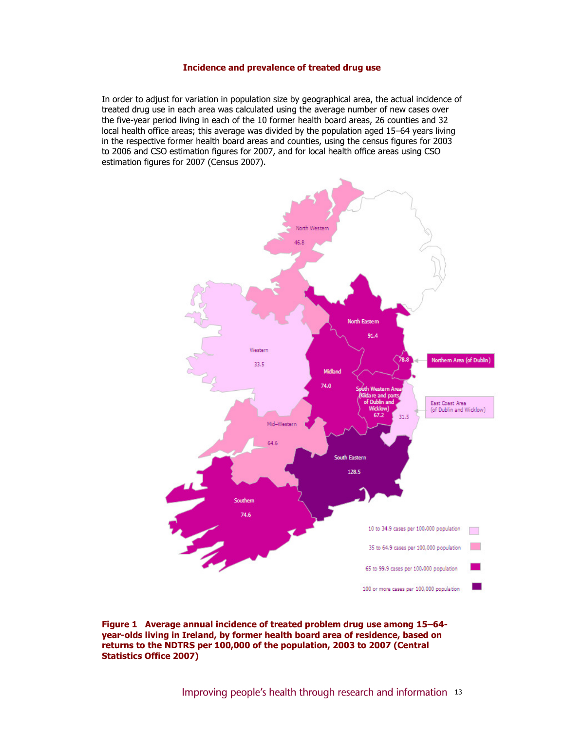#### Incidence and prevalence of treated drug use

In order to adjust for variation in population size by geographical area, the actual incidence of treated drug use in each area was calculated using the average number of new cases over the five-year period living in each of the 10 former health board areas, 26 counties and 32 local health office areas; this average was divided by the population aged 15–64 years living in the respective former health board areas and counties, using the census figures for 2003 to 2006 and CSO estimation figures for 2007, and for local health office areas using CSO estimation figures for 2007 (Census 2007).



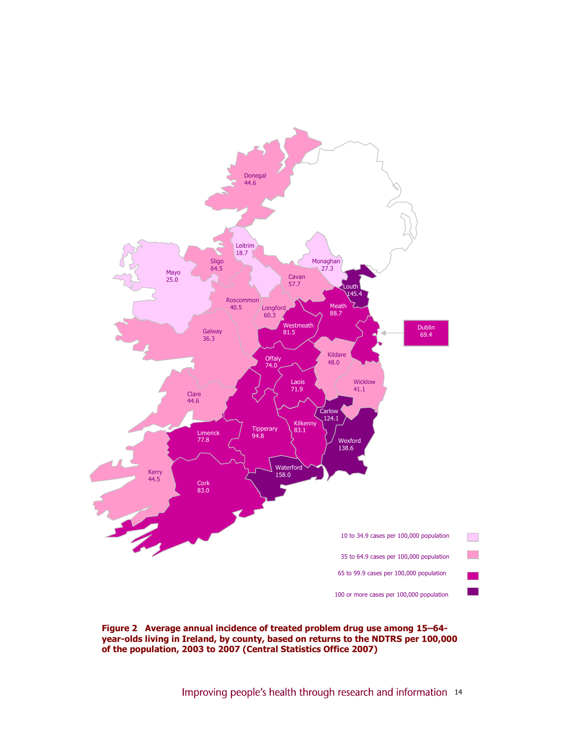

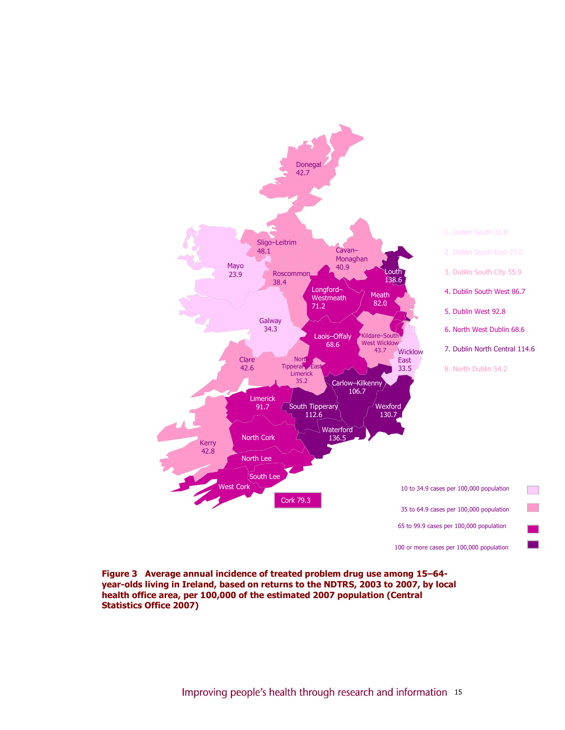

Figure 3 Average annual incidence of treated problem drug use among 15–64 year-olds living in Ireland, based on returns to the NDTRS, 2003 to 2007, by local health office area, per 100,000 of the estimated 2007 population (Central Statistics Office 2007)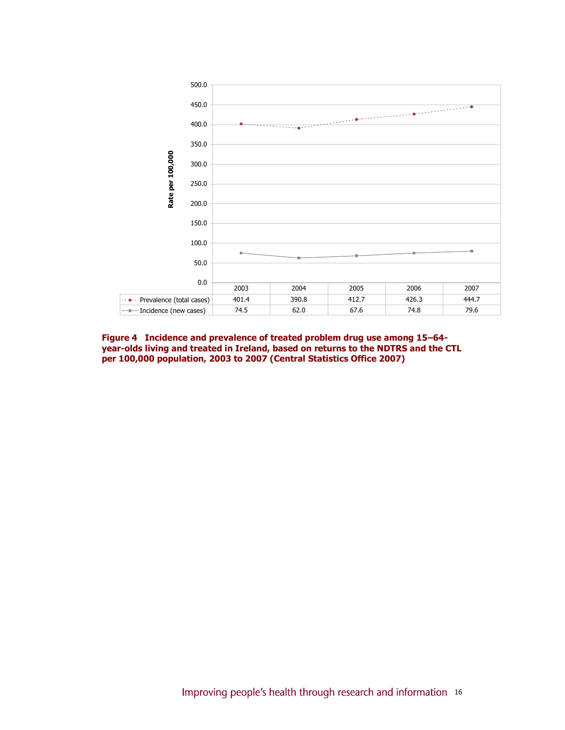

Figure 4 Incidence and prevalence of treated problem drug use among 15–64 year-olds living and treated in Ireland, based on returns to the NDTRS and the CTL per 100,000 population, 2003 to 2007 (Central Statistics Office 2007)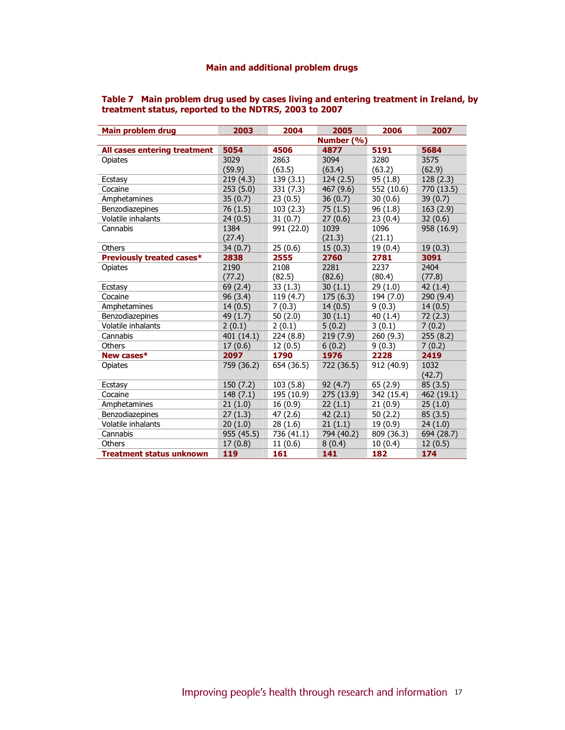# Main and additional problem drugs

| Table 7 Main problem drug used by cases living and entering treatment in Ireland, by |
|--------------------------------------------------------------------------------------|
| treatment status, reported to the NDTRS, 2003 to 2007                                |

| Main problem drug            | 2003       | 2004       | 2005       | 2006       | 2007       |
|------------------------------|------------|------------|------------|------------|------------|
|                              |            |            | Number (%) |            |            |
| All cases entering treatment | 5054       | 4506       | 4877       | 5191       | 5684       |
| Opiates                      | 3029       | 2863       | 3094       | 3280       | 3575       |
|                              | (59.9)     | (63.5)     | (63.4)     | (63.2)     | (62.9)     |
| Ecstasy                      | 219(4.3)   | 139(3.1)   | 124 (2.5)  | 95(1.8)    | 128 (2.3)  |
| Cocaine                      | 253 (5.0)  | 331 (7.3)  | 467 (9.6)  | 552 (10.6) | 770 (13.5) |
| Amphetamines                 | 35(0.7)    | 23(0.5)    | 36(0.7)    | 30(0.6)    | 39(0.7)    |
| Benzodiazepines              | 76 (1.5)   | 103(2.3)   | 75(1.5)    | 96(1.8)    | 163(2.9)   |
| <b>Volatile inhalants</b>    | 24(0.5)    | 31(0.7)    | 27(0.6)    | 23(0.4)    | 32(0.6)    |
| Cannabis                     | 1384       | 991 (22.0) | 1039       | 1096       | 958 (16.9) |
|                              | (27.4)     |            | (21.3)     | (21.1)     |            |
| Others                       | 34(0.7)    | 25(0.6)    | 15(0.3)    | 19(0.4)    | 19(0.3)    |
| Previously treated cases*    | 2838       | 2555       | 2760       | 2781       | 3091       |
| Opiates                      | 2190       | 2108       | 2281       | 2237       | 2404       |
|                              | (77.2)     | (82.5)     | (82.6)     | (80.4)     | (77.8)     |
| Ecstasy                      | 69 (2.4)   | 33(1.3)    | 30(1.1)    | 29 (1.0)   | 42(1.4)    |
| Cocaine                      | 96 (3.4)   | 119 (4.7)  | 175(6.3)   | 194 (7.0)  | 290 (9.4)  |
| Amphetamines                 | 14(0.5)    | 7(0.3)     | 14(0.5)    | 9(0.3)     | 14(0.5)    |
| Benzodiazepines              | 49 (1.7)   | 50(2.0)    | 30(1.1)    | 40 (1.4)   | 72 (2.3)   |
| Volatile inhalants           | 2(0.1)     | 2(0.1)     | 5(0.2)     | 3(0.1)     | 7(0.2)     |
| Cannabis                     | 401 (14.1) | 224 (8.8)  | 219 (7.9)  | 260 (9.3)  | 255 (8.2)  |
| Others                       | 17(0.6)    | 12(0.5)    | 6(0.2)     | 9(0.3)     | 7(0.2)     |
| New cases*                   | 2097       | 1790       | 1976       | 2228       | 2419       |
| Opiates                      | 759 (36.2) | 654 (36.5) | 722 (36.5) | 912 (40.9) | 1032       |
|                              |            |            |            |            | (42.7)     |
| Ecstasy                      | 150 (7.2)  | 103(5.8)   | 92(4.7)    | 65 (2.9)   | 85(3.5)    |
| Cocaine                      | 148(7.1)   | 195 (10.9) | 275 (13.9) | 342 (15.4) | 462 (19.1) |
| Amphetamines                 | 21(1.0)    | 16(0.9)    | 22(1.1)    | 21(0.9)    | 25(1.0)    |
| Benzodiazepines              | 27(1.3)    | 47(2.6)    | 42(2.1)    | 50(2.2)    | 85(3.5)    |
| Volatile inhalants           | 20(1.0)    | 28(1.6)    | 21(1.1)    | 19 (0.9)   | 24(1.0)    |
| Cannabis                     | 955 (45.5) | 736 (41.1) | 794 (40.2) | 809 (36.3) | 694 (28.7) |
| Others                       | 17(0.8)    | 11(0.6)    | 8(0.4)     | 10(0.4)    | 12(0.5)    |
| Treatment status unknown     | 119        | 161        | 141        | 182        | 174        |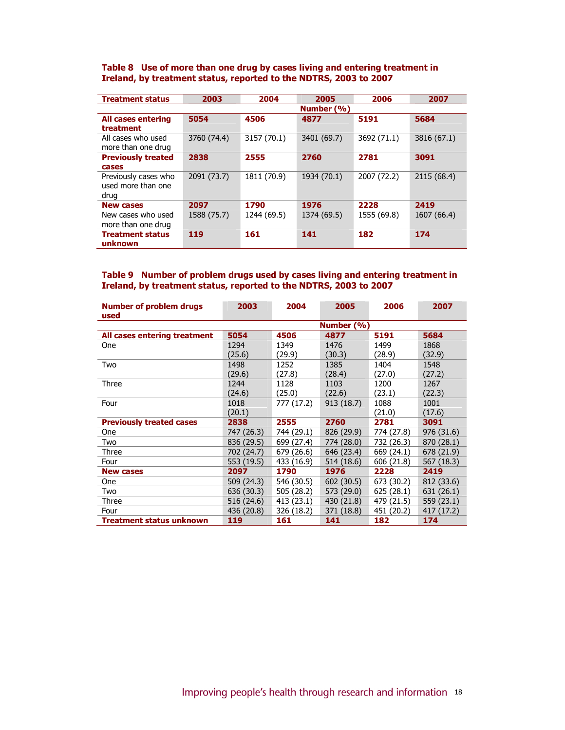#### Table 8 Use of more than one drug by cases living and entering treatment in Ireland, by treatment status, reported to the NDTRS, 2003 to 2007

| <b>Treatment status</b>                            | 2003        | 2004        | 2005        | 2006        | 2007        |
|----------------------------------------------------|-------------|-------------|-------------|-------------|-------------|
|                                                    |             |             | Number (%)  |             |             |
| <b>All cases entering</b><br>treatment             | 5054        | 4506        | 4877        | 5191        | 5684        |
| All cases who used<br>more than one drug           | 3760 (74.4) | 3157 (70.1) | 3401 (69.7) | 3692 (71.1) | 3816 (67.1) |
| <b>Previously treated</b><br>cases                 | 2838        | 2555        | 2760        | 2781        | 3091        |
| Previously cases who<br>used more than one<br>drug | 2091 (73.7) | 1811 (70.9) | 1934 (70.1) | 2007 (72.2) | 2115 (68.4) |
| <b>New cases</b>                                   | 2097        | 1790        | 1976        | 2228        | 2419        |
| New cases who used<br>more than one drug           | 1588 (75.7) | 1244 (69.5) | 1374 (69.5) | 1555 (69.8) | 1607 (66.4) |
| <b>Treatment status</b><br>unknown                 | 119         | 161         | 141         | 182         | 174         |

## Table 9 Number of problem drugs used by cases living and entering treatment in Ireland, by treatment status, reported to the NDTRS, 2003 to 2007

| <b>Number of problem drugs</b><br>used | 2003       | 2004       | 2005       | 2006       | 2007       |  |
|----------------------------------------|------------|------------|------------|------------|------------|--|
|                                        | Number (%) |            |            |            |            |  |
| All cases entering treatment           | 5054       | 4506       | 4877       | 5191       | 5684       |  |
| One                                    | 1294       | 1349       | 1476       | 1499       | 1868       |  |
|                                        | (25.6)     | (29.9)     | (30.3)     | (28.9)     | (32.9)     |  |
| Two                                    | 1498       | 1252       | 1385       | 1404       | 1548       |  |
|                                        | (29.6)     | (27.8)     | (28.4)     | (27.0)     | (27.2)     |  |
| Three                                  | 1244       | 1128       | 1103       | 1200       | 1267       |  |
|                                        | (24.6)     | (25.0)     | (22.6)     | (23.1)     | (22.3)     |  |
| Four                                   | 1018       | 777 (17.2) | 913 (18.7) | 1088       | 1001       |  |
|                                        | (20.1)     |            |            | (21.0)     | (17.6)     |  |
| <b>Previously treated cases</b>        | 2838       | 2555       | 2760       | 2781       | 3091       |  |
| One                                    | 747 (26.3) | 744 (29.1) | 826 (29.9) | 774 (27.8) | 976 (31.6) |  |
| Two                                    | 836 (29.5) | 699 (27.4) | 774 (28.0) | 732 (26.3) | 870 (28.1) |  |
| Three                                  | 702 (24.7) | 679 (26.6) | 646 (23.4) | 669 (24.1) | 678 (21.9) |  |
| Four                                   | 553 (19.5) | 433 (16.9) | 514 (18.6) | 606 (21.8) | 567 (18.3) |  |
| <b>New cases</b>                       | 2097       | 1790       | 1976       | 2228       | 2419       |  |
| <b>One</b>                             | 509 (24.3) | 546 (30.5) | 602 (30.5) | 673 (30.2) | 812 (33.6) |  |
| Two                                    | 636 (30.3) | 505 (28.2) | 573 (29.0) | 625 (28.1) | 631 (26.1) |  |
| Three                                  | 516 (24.6) | 413 (23.1) | 430 (21.8) | 479 (21.5) | 559 (23.1) |  |
| Four                                   | 436 (20.8) | 326 (18.2) | 371 (18.8) | 451 (20.2) | 417 (17.2) |  |
| Treatment status unknown               | 119        | 161        | 141        | 182        | 174        |  |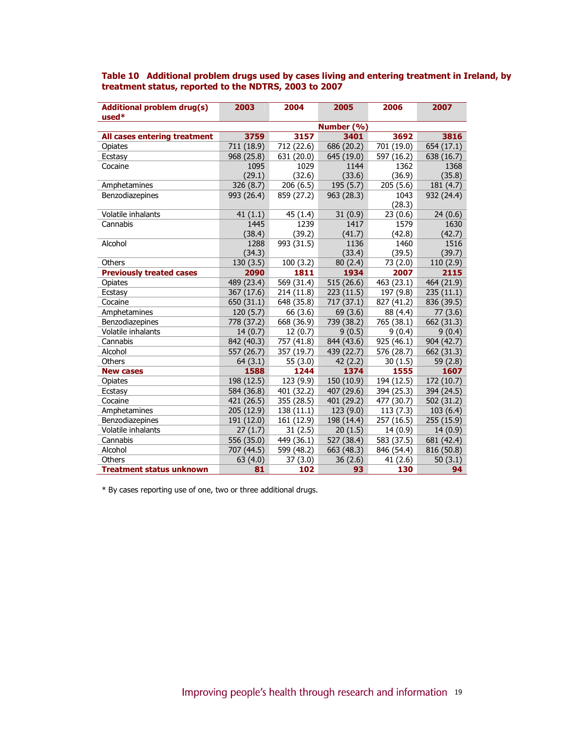| <b>Additional problem drug(s)</b><br>$used*$ | 2003       | 2004       | 2005       | 2006       | 2007       |  |  |
|----------------------------------------------|------------|------------|------------|------------|------------|--|--|
|                                              | Number (%) |            |            |            |            |  |  |
| All cases entering treatment                 | 3759       | 3157       | 3401       | 3692       | 3816       |  |  |
| Opiates                                      | 711 (18.9) | 712 (22.6) | 686 (20.2) | 701 (19.0) | 654 (17.1) |  |  |
| Ecstasy                                      | 968 (25.8) | 631 (20.0) | 645 (19.0) | 597 (16.2) | 638 (16.7) |  |  |
| Cocaine                                      | 1095       | 1029       | 1144       | 1362       | 1368       |  |  |
|                                              | (29.1)     | (32.6)     | (33.6)     | (36.9)     | (35.8)     |  |  |
| Amphetamines                                 | 326 (8.7)  | 206(6.5)   | 195(5.7)   | 205(5.6)   | 181 (4.7)  |  |  |
| Benzodiazepines                              | 993 (26.4) | 859 (27.2) | 963 (28.3) | 1043       | 932 (24.4) |  |  |
|                                              |            |            |            | (28.3)     |            |  |  |
| Volatile inhalants                           | 41(1.1)    | 45 (1.4)   | 31(0.9)    | 23(0.6)    | 24(0.6)    |  |  |
| Cannabis                                     | 1445       | 1239       | 1417       | 1579       | 1630       |  |  |
|                                              | (38.4)     | (39.2)     | (41.7)     | (42.8)     | (42.7)     |  |  |
| Alcohol                                      | 1288       | 993 (31.5) | 1136       | 1460       | 1516       |  |  |
|                                              | (34.3)     |            | (33.4)     | (39.5)     | (39.7)     |  |  |
| Others                                       | 130(3.5)   | 100(3.2)   | 80(2.4)    | 73 (2.0)   | 110(2.9)   |  |  |
| <b>Previously treated cases</b>              | 2090       | 1811       | 1934       | 2007       | 2115       |  |  |
| Opiates                                      | 489 (23.4) | 569 (31.4) | 515(26.6)  | 463 (23.1) | 464 (21.9) |  |  |
| Ecstasy                                      | 367 (17.6) | 214 (11.8) | 223(11.5)  | 197 (9.8)  | 235(11.1)  |  |  |
| Cocaine                                      | 650 (31.1) | 648 (35.8) | 717(37.1)  | 827 (41.2) | 836 (39.5) |  |  |
| Amphetamines                                 | 120(5.7)   | 66 (3.6)   | 69 (3.6)   | 88 (4.4)   | 77(3.6)    |  |  |
| Benzodiazepines                              | 778 (37.2) | 668 (36.9) | 739 (38.2) | 765 (38.1) | 662 (31.3) |  |  |
| Volatile inhalants                           | 14(0.7)    | 12(0.7)    | 9(0.5)     | 9(0.4)     | 9(0.4)     |  |  |
| Cannabis                                     | 842 (40.3) | 757 (41.8) | 844 (43.6) | 925 (46.1) | 904 (42.7) |  |  |
| Alcohol                                      | 557 (26.7) | 357 (19.7) | 439 (22.7) | 576 (28.7) | 662 (31.3) |  |  |
| Others                                       | 64(3.1)    | 55 (3.0)   | 42 (2.2)   | 30(1.5)    | 59 (2.8)   |  |  |
| <b>New cases</b>                             | 1588       | 1244       | 1374       | 1555       | 1607       |  |  |
| Opiates                                      | 198 (12.5) | 123 (9.9)  | 150 (10.9) | 194 (12.5) | 172 (10.7) |  |  |
| Ecstasy                                      | 584 (36.8) | 401 (32.2) | 407 (29.6) | 394 (25.3) | 394 (24.5) |  |  |
| Cocaine                                      | 421 (26.5) | 355 (28.5) | 401 (29.2) | 477 (30.7) | 502 (31.2) |  |  |
| Amphetamines                                 | 205 (12.9) | 138 (11.1) | 123 (9.0)  | 113(7.3)   | 103(6.4)   |  |  |
| Benzodiazepines                              | 191 (12.0) | 161 (12.9) | 198 (14.4) | 257 (16.5) | 255 (15.9) |  |  |
| Volatile inhalants                           | 27(1.7)    | 31(2.5)    | 20(1.5)    | 14 (0.9)   | 14(0.9)    |  |  |
| Cannabis                                     | 556 (35.0) | 449 (36.1) | 527 (38.4) | 583 (37.5) | 681 (42.4) |  |  |
| Alcohol                                      | 707 (44.5) | 599 (48.2) | 663 (48.3) | 846 (54.4) | 816 (50.8) |  |  |
| Others                                       | 63(4.0)    | 37(3.0)    | 36(2.6)    | 41(2.6)    | 50(3.1)    |  |  |
| <b>Treatment status unknown</b>              | 81         | 102        | 93         | 130        | 94         |  |  |

## Table 10 Additional problem drugs used by cases living and entering treatment in Ireland, by treatment status, reported to the NDTRS, 2003 to 2007

\* By cases reporting use of one, two or three additional drugs.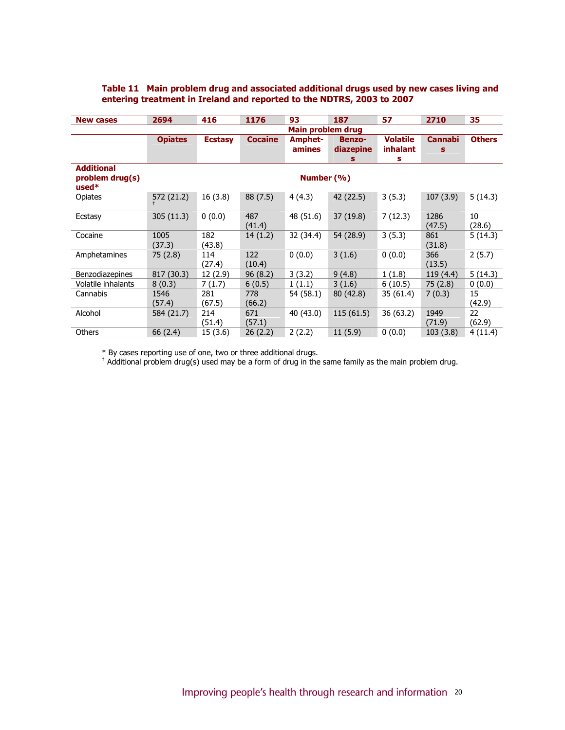| <b>New cases</b>                                | 2694                     | 416            | 1176           | 93                | 187                        | 57                          | 2710                | 35            |
|-------------------------------------------------|--------------------------|----------------|----------------|-------------------|----------------------------|-----------------------------|---------------------|---------------|
|                                                 | <b>Main problem drug</b> |                |                |                   |                            |                             |                     |               |
|                                                 | <b>Opiates</b>           | <b>Ecstasy</b> | <b>Cocaine</b> | Amphet-<br>amines | <b>Benzo-</b><br>diazepine | <b>Volatile</b><br>inhalant | <b>Cannabi</b><br>S | <b>Others</b> |
|                                                 |                          |                |                |                   | s                          | s                           |                     |               |
| <b>Additional</b><br>problem drug(s)<br>$used*$ | Number (%)               |                |                |                   |                            |                             |                     |               |
| Opiates                                         | 572 (21.2)               | 16(3.8)        | 88 (7.5)       | 4(4.3)            | 42 (22.5)                  | 3(5.3)                      | 107(3.9)            | 5(14.3)       |
| Ecstasy                                         | 305(11.3)                | 0(0.0)         | 487<br>(41.4)  | 48 (51.6)         | 37 (19.8)                  | 7(12.3)                     | 1286<br>(47.5)      | 10<br>(28.6)  |
| Cocaine                                         | 1005<br>(37.3)           | 182<br>(43.8)  | 14(1.2)        | 32 (34.4)         | 54 (28.9)                  | 3(5.3)                      | 861<br>(31.8)       | 5(14.3)       |
| Amphetamines                                    | 75 (2.8)                 | 114<br>(27.4)  | 122<br>(10.4)  | 0(0.0)            | 3(1.6)                     | 0(0.0)                      | 366<br>(13.5)       | 2(5.7)        |
| Benzodiazepines                                 | 817 (30.3)               | 12 (2.9)       | 96(8.2)        | 3(3.2)            | 9(4.8)                     | 1(1.8)                      | 119(4.4)            | 5(14.3)       |
| Volatile inhalants                              | 8(0.3)                   | 7(1.7)         | 6(0.5)         | 1(1.1)            | 3(1.6)                     | 6(10.5)                     | 75(2.8)             | 0(0.0)        |
| Cannabis                                        | 1546<br>(57.4)           | 281<br>(67.5)  | 778<br>(66.2)  | 54 (58.1)         | 80 (42.8)                  | 35 (61.4)                   | 7(0.3)              | 15<br>(42.9)  |
| Alcohol                                         | 584 (21.7)               | 214<br>(51.4)  | 671<br>(57.1)  | 40 (43.0)         | 115(61.5)                  | 36 (63.2)                   | 1949<br>(71.9)      | 22<br>(62.9)  |
| Others                                          | 66 (2.4)                 | 15 (3.6)       | 26(2.2)        | 2(2.2)            | 11(5.9)                    | 0(0.0)                      | 103(3.8)            | 4(11.4)       |

## Table 11 Main problem drug and associated additional drugs used by new cases living and entering treatment in Ireland and reported to the NDTRS, 2003 to 2007

 $^\ast$  By cases reporting use of one, two or three additional drugs.<br><sup>†</sup> Additional problem drug(s) used may be a form of drug in the same family as the main problem drug.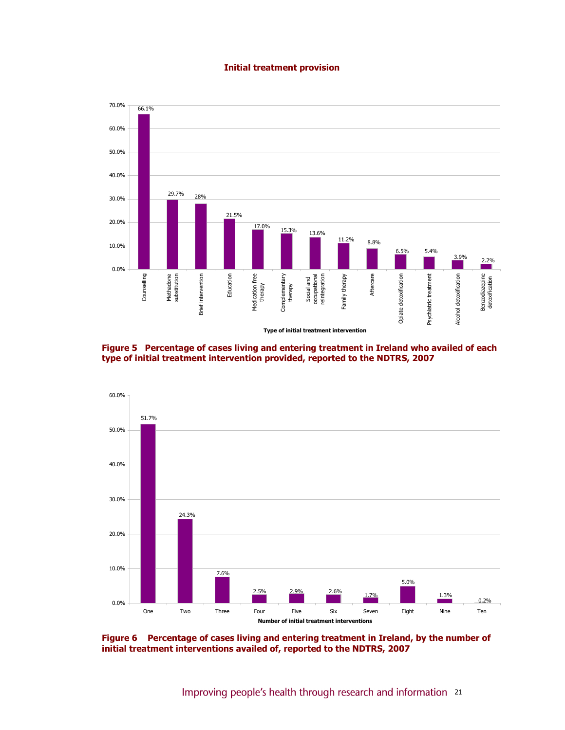#### Initial treatment provision







Figure 6 Percentage of cases living and entering treatment in Ireland, by the number of initial treatment interventions availed of, reported to the NDTRS, 2007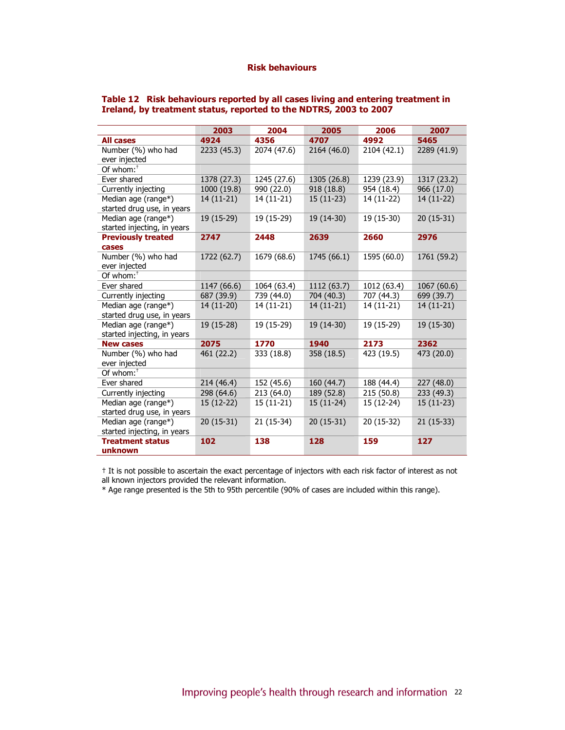|                             | 2003        | 2004        | 2005        | 2006        | 2007        |
|-----------------------------|-------------|-------------|-------------|-------------|-------------|
| <b>All cases</b>            | 4924        | 4356        | 4707        | 4992        | 5465        |
| Number (%) who had          | 2233 (45.3) | 2074 (47.6) | 2164 (46.0) | 2104 (42.1) | 2289 (41.9) |
| ever injected               |             |             |             |             |             |
| Of whom: $†$                |             |             |             |             |             |
| Ever shared                 | 1378 (27.3) | 1245 (27.6) | 1305 (26.8) | 1239 (23.9) | 1317 (23.2) |
| Currently injecting         | 1000 (19.8) | 990 (22.0)  | 918 (18.8)  | 954 (18.4)  | 966 (17.0)  |
| Median age (range*)         | $14(11-21)$ | 14 (11-21)  | $15(11-23)$ | 14 (11-22)  | $14(11-22)$ |
| started drug use, in years  |             |             |             |             |             |
| Median age (range*)         | $19(15-29)$ | 19 (15-29)  | 19 (14-30)  | 19 (15-30)  | $20(15-31)$ |
| started injecting, in years |             |             |             |             |             |
| <b>Previously treated</b>   | 2747        | 2448        | 2639        | 2660        | 2976        |
| cases                       |             |             |             |             |             |
| Number (%) who had          | 1722 (62.7) | 1679 (68.6) | 1745 (66.1) | 1595 (60.0) | 1761 (59.2) |
| ever injected               |             |             |             |             |             |
| Of whom: <sup>†</sup>       |             |             |             |             |             |
| Ever shared                 | 1147 (66.6) | 1064 (63.4) | 1112 (63.7) | 1012 (63.4) | 1067 (60.6) |
| Currently injecting         | 687 (39.9)  | 739 (44.0)  | 704 (40.3)  | 707 (44.3)  | 699 (39.7)  |
| Median age (range*)         | 14 (11-20)  | 14 (11-21)  | 14 (11-21)  | 14 (11-21)  | $14(11-21)$ |
| started drug use, in years  |             |             |             |             |             |
| Median age (range*)         | 19 (15-28)  | 19 (15-29)  | 19 (14-30)  | 19 (15-29)  | 19 (15-30)  |
| started injecting, in years |             |             |             |             |             |
| <b>New cases</b>            | 2075        | 1770        | 1940        | 2173        | 2362        |
| Number (%) who had          | 461 (22.2)  | 333 (18.8)  | 358 (18.5)  | 423 (19.5)  | 473 (20.0)  |
| ever injected               |             |             |             |             |             |
| Of whom: <sup>†</sup>       |             |             |             |             |             |
| Ever shared                 | 214 (46.4)  | 152 (45.6)  | 160 (44.7)  | 188 (44.4)  | 227 (48.0)  |
| Currently injecting         | 298 (64.6)  | 213 (64.0)  | 189 (52.8)  | 215 (50.8)  | 233 (49.3)  |
| Median age (range*)         | $15(12-22)$ | 15 (11-21)  | $15(11-24)$ | 15 (12-24)  | $15(11-23)$ |
| started drug use, in years  |             |             |             |             |             |
| Median age (range*)         | $20(15-31)$ | 21 (15-34)  | $20(15-31)$ | 20 (15-32)  | $21(15-33)$ |
| started injecting, in years |             |             |             |             |             |
| <b>Treatment status</b>     | 102         | 138         | 128         | 159         | 127         |
| unknown                     |             |             |             |             |             |

#### Table 12 Risk behaviours reported by all cases living and entering treatment in Ireland, by treatment status, reported to the NDTRS, 2003 to 2007

† It is not possible to ascertain the exact percentage of injectors with each risk factor of interest as not all known injectors provided the relevant information.

\* Age range presented is the 5th to 95th percentile (90% of cases are included within this range).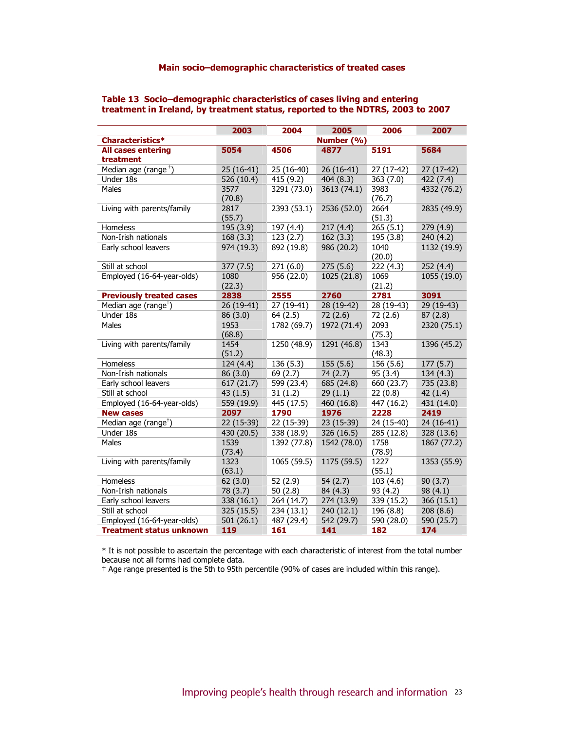## Main socio–demographic characteristics of treated cases

|                                        | 2003           | 2004        | 2005        | 2006           | 2007        |
|----------------------------------------|----------------|-------------|-------------|----------------|-------------|
| Characteristics*                       |                |             | Number (%)  |                |             |
| <b>All cases entering</b><br>treatment | 5054           | 4506        | 4877        | 5191           | 5684        |
| Median age (range <sup>+</sup> )       | 25 (16-41)     | 25 (16-40)  | 26 (16-41)  | 27 (17-42)     | 27 (17-42)  |
| Under 18s                              | 526 (10.4)     | 415 (9.2)   | 404 (8.3)   | 363 (7.0)      | 422 (7.4)   |
| Males                                  | 3577<br>(70.8) | 3291 (73.0) | 3613 (74.1) | 3983<br>(76.7) | 4332 (76.2) |
| Living with parents/family             | 2817<br>(55.7) | 2393 (53.1) | 2536 (52.0) | 2664<br>(51.3) | 2835 (49.9) |
| Homeless                               | 195 (3.9)      | 197 (4.4)   | 217(4.4)    | 265(5.1)       | 279 (4.9)   |
| Non-Irish nationals                    | 168(3.3)       | 123(2.7)    | 162(3.3)    | 195 (3.8)      | 240 (4.2)   |
| Early school leavers                   | 974 (19.3)     | 892 (19.8)  | 986 (20.2)  | 1040<br>(20.0) | 1132 (19.9) |
| Still at school                        | 377 (7.5)      | 271(6.0)    | 275(5.6)    | 222 (4.3)      | 252(4.4)    |
| Employed (16-64-year-olds)             | 1080<br>(22.3) | 956 (22.0)  | 1025 (21.8) | 1069<br>(21.2) | 1055 (19.0) |
| <b>Previously treated cases</b>        | 2838           | 2555        | 2760        | 2781           | 3091        |
| Median age (range <sup>†</sup> )       | 26 (19-41)     | 27 (19-41)  | 28 (19-42)  | 28 (19-43)     | 29 (19-43)  |
| Under 18s                              | 86 (3.0)       | 64(2.5)     | 72 (2.6)    | 72 (2.6)       | 87(2.8)     |
| Males                                  | 1953<br>(68.8) | 1782 (69.7) | 1972 (71.4) | 2093<br>(75.3) | 2320 (75.1) |
| Living with parents/family             | 1454<br>(51.2) | 1250 (48.9) | 1291 (46.8) | 1343<br>(48.3) | 1396 (45.2) |
| Homeless                               | 124 (4.4)      | 136 (5.3)   | 155(5.6)    | 156 (5.6)      | 177(5.7)    |
| Non-Irish nationals                    | 86 (3.0)       | 69 (2.7)    | 74(2.7)     | 95 (3.4)       | 134 (4.3)   |
| Early school leavers                   | 617(21.7)      | 599 (23.4)  | 685 (24.8)  | 660 (23.7)     | 735 (23.8)  |
| Still at school                        | 43 (1.5)       | 31(1.2)     | 29(1.1)     | 22(0.8)        | 42(1.4)     |
| Employed (16-64-year-olds)             | 559 (19.9)     | 445 (17.5)  | 460 (16.8)  | 447 (16.2)     | 431 (14.0)  |
| <b>New cases</b>                       | 2097           | 1790        | 1976        | 2228           | 2419        |
| Median age (range <sup>†</sup> )       | 22 (15-39)     | 22 (15-39)  | 23 (15-39)  | 24 (15-40)     | 24 (16-41)  |
| Under 18s                              | 430 (20.5)     | 338 (18.9)  | 326 (16.5)  | 285 (12.8)     | 328 (13.6)  |
| Males                                  | 1539<br>(73.4) | 1392 (77.8) | 1542 (78.0) | 1758<br>(78.9) | 1867 (77.2) |
| Living with parents/family             | 1323<br>(63.1) | 1065 (59.5) | 1175 (59.5) | 1227<br>(55.1) | 1353 (55.9) |
| Homeless                               | 62(3.0)        | 52 (2.9)    | 54(2.7)     | 103 (4.6)      | 90(3.7)     |
| Non-Irish nationals                    | 78 (3.7)       | 50(2.8)     | 84 (4.3)    | 93 (4.2)       | 98 (4.1)    |
| Early school leavers                   | 338 (16.1)     | 264 (14.7)  | 274 (13.9)  | 339 (15.2)     | 366 (15.1)  |
| Still at school                        | 325 (15.5)     | 234 (13.1)  | 240 (12.1)  | 196 (8.8)      | 208(8.6)    |
| Employed (16-64-year-olds)             | 501 (26.1)     | 487 (29.4)  | 542 (29.7)  | 590 (28.0)     | 590 (25.7)  |
| <b>Treatment status unknown</b>        | 119            | 161         | 141         | 182            | 174         |

#### Table 13 Socio–demographic characteristics of cases living and entering treatment in Ireland, by treatment status, reported to the NDTRS, 2003 to 2007

\* It is not possible to ascertain the percentage with each characteristic of interest from the total number because not all forms had complete data.

† Age range presented is the 5th to 95th percentile (90% of cases are included within this range).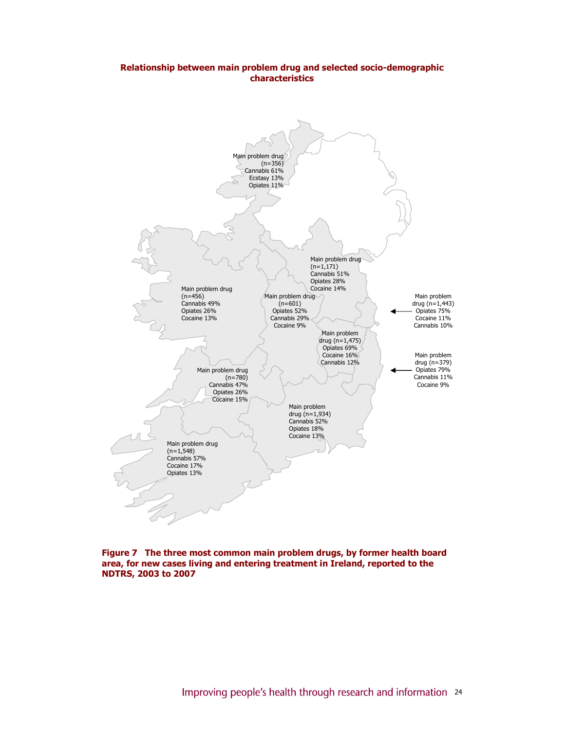## Relationship between main problem drug and selected socio-demographic characteristics



Figure 7 The three most common main problem drugs, by former health board area, for new cases living and entering treatment in Ireland, reported to the NDTRS, 2003 to 2007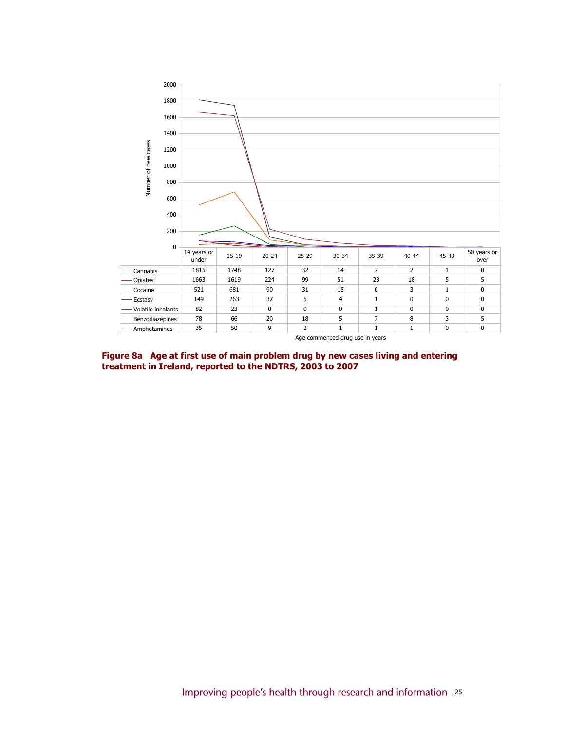

Figure 8a Age at first use of main problem drug by new cases living and entering treatment in Ireland, reported to the NDTRS, 2003 to 2007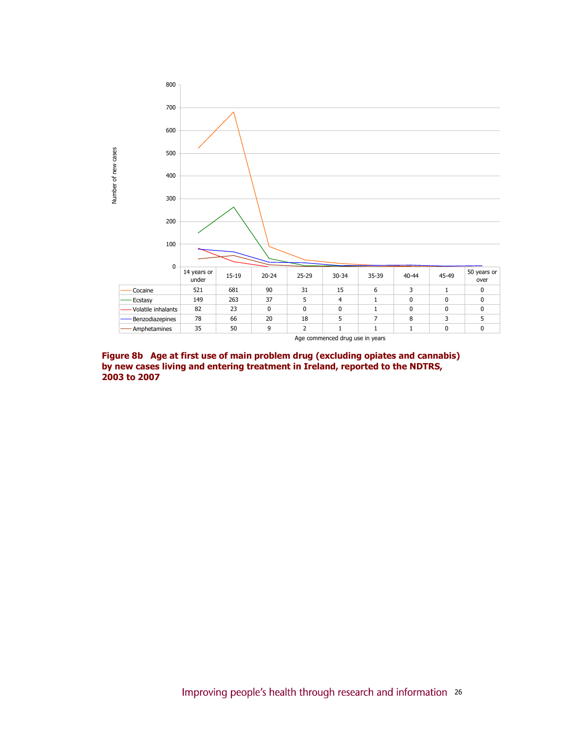

Figure 8b Age at first use of main problem drug (excluding opiates and cannabis) by new cases living and entering treatment in Ireland, reported to the NDTRS, 2003 to 2007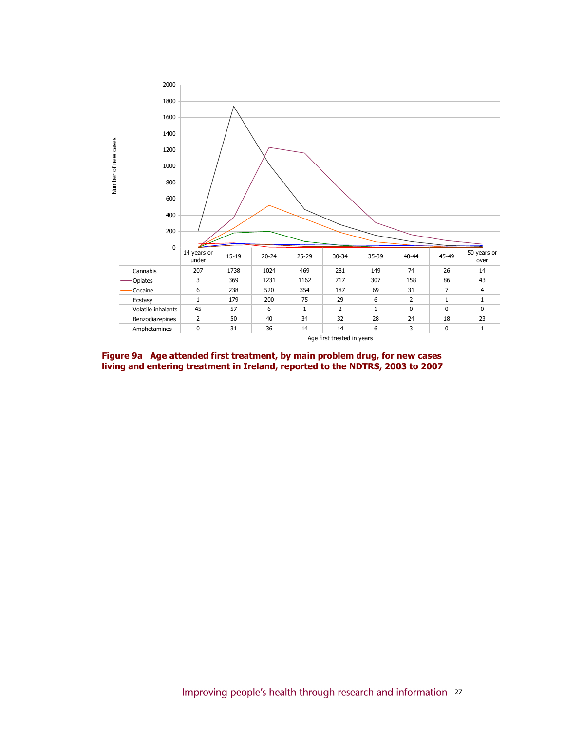

Figure 9a Age attended first treatment, by main problem drug, for new cases living and entering treatment in Ireland, reported to the NDTRS, 2003 to 2007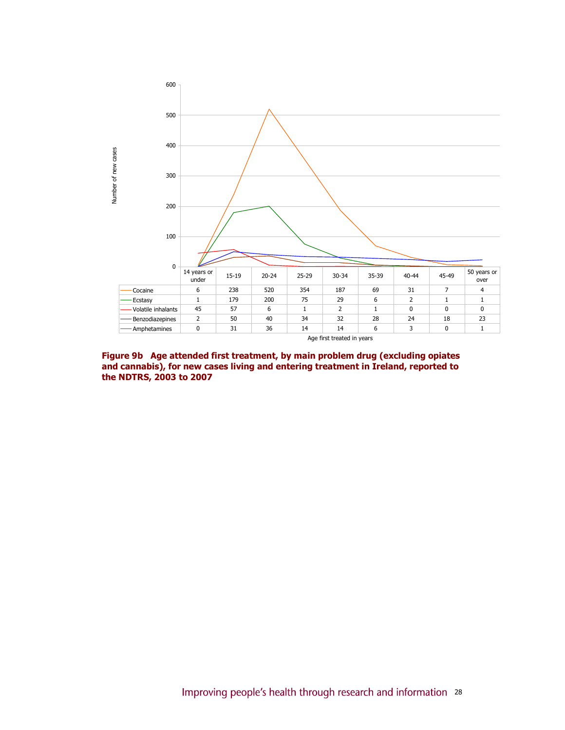

Figure 9b Age attended first treatment, by main problem drug (excluding opiates and cannabis), for new cases living and entering treatment in Ireland, reported to the NDTRS, 2003 to 2007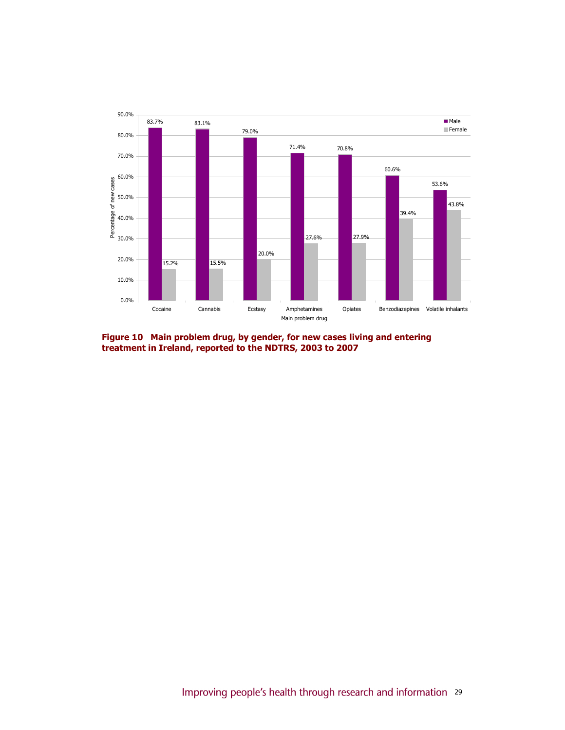

Figure 10 Main problem drug, by gender, for new cases living and entering treatment in Ireland, reported to the NDTRS, 2003 to 2007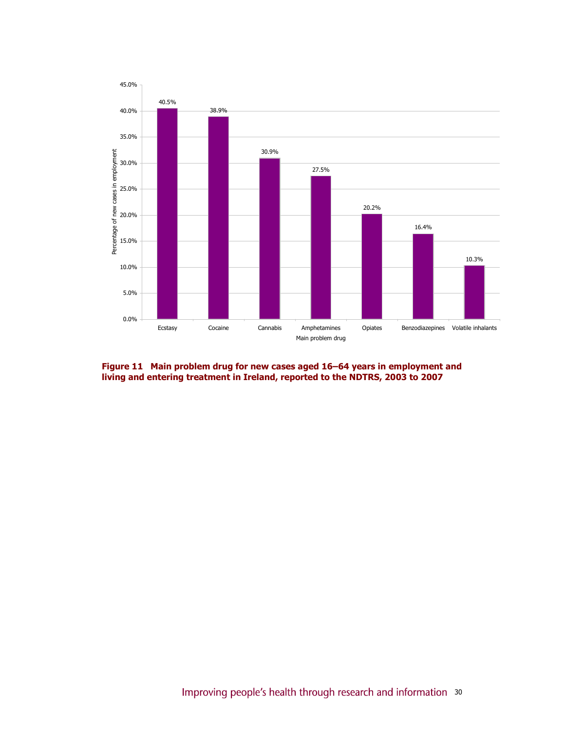

Figure 11 Main problem drug for new cases aged 16–64 years in employment and living and entering treatment in Ireland, reported to the NDTRS, 2003 to 2007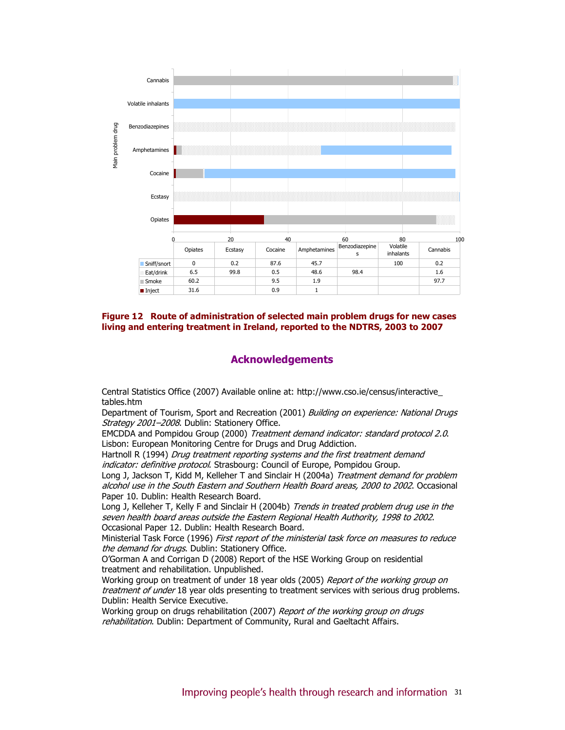

Figure 12 Route of administration of selected main problem drugs for new cases living and entering treatment in Ireland, reported to the NDTRS, 2003 to 2007

## Acknowledgements

Central Statistics Office (2007) Available online at: http://www.cso.ie/census/interactive\_ tables.htm

Department of Tourism, Sport and Recreation (2001) Building on experience: National Drugs Strategy 2001-2008. Dublin: Stationery Office.

EMCDDA and Pompidou Group (2000) Treatment demand indicator: standard protocol 2.0. Lisbon: European Monitoring Centre for Drugs and Drug Addiction.

Hartnoll R (1994) Drug treatment reporting systems and the first treatment demand indicator: definitive protocol. Strasbourg: Council of Europe, Pompidou Group.

Long J, Jackson T, Kidd M, Kelleher T and Sinclair H (2004a) Treatment demand for problem alcohol use in the South Eastern and Southern Health Board areas, 2000 to 2002. Occasional Paper 10. Dublin: Health Research Board.

Long J, Kelleher T, Kelly F and Sinclair H (2004b) Trends in treated problem drug use in the seven health board areas outside the Eastern Regional Health Authority, 1998 to 2002. Occasional Paper 12. Dublin: Health Research Board.

Ministerial Task Force (1996) First report of the ministerial task force on measures to reduce the demand for drugs. Dublin: Stationery Office.

O'Gorman A and Corrigan D (2008) Report of the HSE Working Group on residential treatment and rehabilitation. Unpublished.

Working group on treatment of under 18 year olds (2005) Report of the working group on treatment of under 18 year olds presenting to treatment services with serious drug problems. Dublin: Health Service Executive.

Working group on drugs rehabilitation (2007) Report of the working group on drugs rehabilitation. Dublin: Department of Community, Rural and Gaeltacht Affairs.